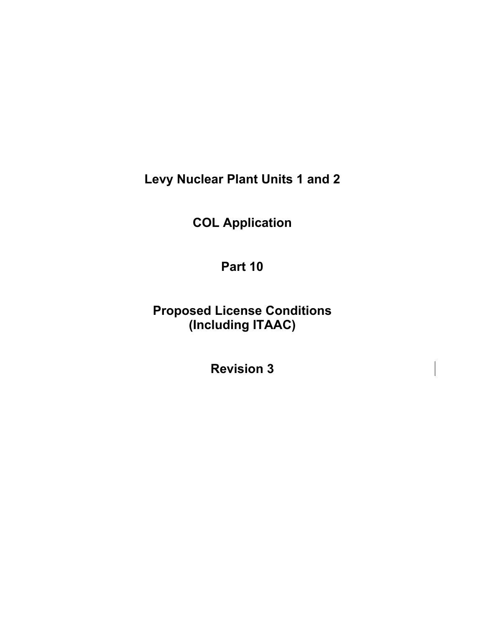**Levy Nuclear Plant Units 1 and 2** 

**COL Application** 

**Part 10** 

**Proposed License Conditions (Including ITAAC)** 

**Revision 3**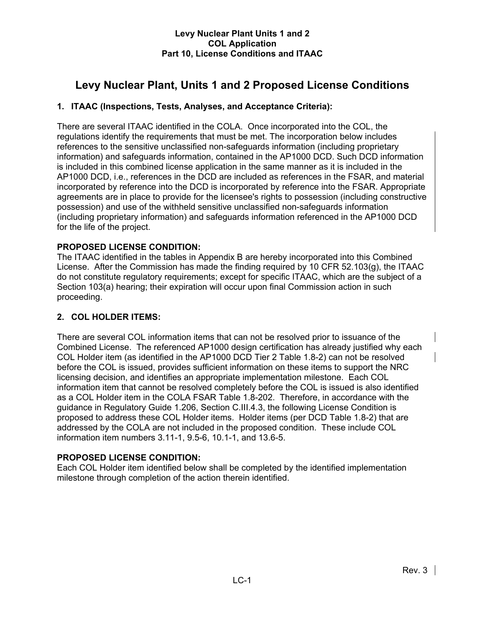# **Levy Nuclear Plant, Units 1 and 2 Proposed License Conditions**

## **1. ITAAC (Inspections, Tests, Analyses, and Acceptance Criteria):**

There are several ITAAC identified in the COLA. Once incorporated into the COL, the regulations identify the requirements that must be met. The incorporation below includes references to the sensitive unclassified non-safeguards information (including proprietary information) and safeguards information, contained in the AP1000 DCD. Such DCD information is included in this combined license application in the same manner as it is included in the AP1000 DCD, i.e., references in the DCD are included as references in the FSAR, and material incorporated by reference into the DCD is incorporated by reference into the FSAR. Appropriate agreements are in place to provide for the licensee's rights to possession (including constructive possession) and use of the withheld sensitive unclassified non-safeguards information (including proprietary information) and safeguards information referenced in the AP1000 DCD for the life of the project.

## **PROPOSED LICENSE CONDITION:**

The ITAAC identified in the tables in Appendix B are hereby incorporated into this Combined License. After the Commission has made the finding required by 10 CFR 52.103(g), the ITAAC do not constitute regulatory requirements; except for specific ITAAC, which are the subject of a Section 103(a) hearing; their expiration will occur upon final Commission action in such proceeding.

## **2. COL HOLDER ITEMS:**

There are several COL information items that can not be resolved prior to issuance of the Combined License. The referenced AP1000 design certification has already justified why each COL Holder item (as identified in the AP1000 DCD Tier 2 Table 1.8-2) can not be resolved before the COL is issued, provides sufficient information on these items to support the NRC licensing decision, and identifies an appropriate implementation milestone. Each COL information item that cannot be resolved completely before the COL is issued is also identified as a COL Holder item in the COLA FSAR Table 1.8-202. Therefore, in accordance with the guidance in Regulatory Guide 1.206, Section C.III.4.3, the following License Condition is proposed to address these COL Holder items. Holder items (per DCD Table 1.8-2) that are addressed by the COLA are not included in the proposed condition. These include COL information item numbers 3.11-1, 9.5-6, 10.1-1, and 13.6-5.

## **PROPOSED LICENSE CONDITION:**

Each COL Holder item identified below shall be completed by the identified implementation milestone through completion of the action therein identified.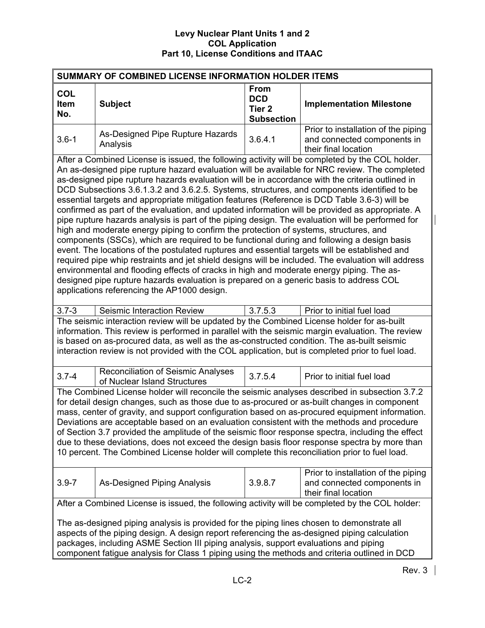| SUMMARY OF COMBINED LICENSE INFORMATION HOLDER ITEMS                                                                                                                                                                                                                                                                                                                                                                                                                                                                                                                                                                                                                                                                                                                                                                                                                                                                                                                                                                                                                                                                                                                                                                                                                                                                                         |                                                                                                                                                       |                                                                     |                                 |  |  |  |
|----------------------------------------------------------------------------------------------------------------------------------------------------------------------------------------------------------------------------------------------------------------------------------------------------------------------------------------------------------------------------------------------------------------------------------------------------------------------------------------------------------------------------------------------------------------------------------------------------------------------------------------------------------------------------------------------------------------------------------------------------------------------------------------------------------------------------------------------------------------------------------------------------------------------------------------------------------------------------------------------------------------------------------------------------------------------------------------------------------------------------------------------------------------------------------------------------------------------------------------------------------------------------------------------------------------------------------------------|-------------------------------------------------------------------------------------------------------------------------------------------------------|---------------------------------------------------------------------|---------------------------------|--|--|--|
| <b>COL</b><br>Item<br>No.                                                                                                                                                                                                                                                                                                                                                                                                                                                                                                                                                                                                                                                                                                                                                                                                                                                                                                                                                                                                                                                                                                                                                                                                                                                                                                                    | <b>Subject</b>                                                                                                                                        | <b>From</b><br><b>DCD</b><br>Tier <sub>2</sub><br><b>Subsection</b> | <b>Implementation Milestone</b> |  |  |  |
| $3.6 - 1$                                                                                                                                                                                                                                                                                                                                                                                                                                                                                                                                                                                                                                                                                                                                                                                                                                                                                                                                                                                                                                                                                                                                                                                                                                                                                                                                    | Prior to installation of the piping<br>As-Designed Pipe Rupture Hazards<br>3.6.4.1<br>and connected components in<br>Analysis<br>their final location |                                                                     |                                 |  |  |  |
| After a Combined License is issued, the following activity will be completed by the COL holder.<br>An as-designed pipe rupture hazard evaluation will be available for NRC review. The completed<br>as-designed pipe rupture hazards evaluation will be in accordance with the criteria outlined in<br>DCD Subsections 3.6.1.3.2 and 3.6.2.5. Systems, structures, and components identified to be<br>essential targets and appropriate mitigation features (Reference is DCD Table 3.6-3) will be<br>confirmed as part of the evaluation, and updated information will be provided as appropriate. A<br>pipe rupture hazards analysis is part of the piping design. The evaluation will be performed for<br>high and moderate energy piping to confirm the protection of systems, structures, and<br>components (SSCs), which are required to be functional during and following a design basis<br>event. The locations of the postulated ruptures and essential targets will be established and<br>required pipe whip restraints and jet shield designs will be included. The evaluation will address<br>environmental and flooding effects of cracks in high and moderate energy piping. The as-<br>designed pipe rupture hazards evaluation is prepared on a generic basis to address COL<br>applications referencing the AP1000 design. |                                                                                                                                                       |                                                                     |                                 |  |  |  |
| $3.7 - 3$                                                                                                                                                                                                                                                                                                                                                                                                                                                                                                                                                                                                                                                                                                                                                                                                                                                                                                                                                                                                                                                                                                                                                                                                                                                                                                                                    | Seismic Interaction Review                                                                                                                            | 3.7.5.3                                                             | Prior to initial fuel load      |  |  |  |
| The seismic interaction review will be updated by the Combined License holder for as-built<br>information. This review is performed in parallel with the seismic margin evaluation. The review<br>is based on as-procured data, as well as the as-constructed condition. The as-built seismic<br>interaction review is not provided with the COL application, but is completed prior to fuel load.                                                                                                                                                                                                                                                                                                                                                                                                                                                                                                                                                                                                                                                                                                                                                                                                                                                                                                                                           |                                                                                                                                                       |                                                                     |                                 |  |  |  |
| $3.7 - 4$                                                                                                                                                                                                                                                                                                                                                                                                                                                                                                                                                                                                                                                                                                                                                                                                                                                                                                                                                                                                                                                                                                                                                                                                                                                                                                                                    | <b>Reconciliation of Seismic Analyses</b><br>of Nuclear Island Structures                                                                             | 3.7.5.4                                                             | Prior to initial fuel load      |  |  |  |
| The Combined License holder will reconcile the seismic analyses described in subsection 3.7.2<br>for detail design changes, such as those due to as-procured or as-built changes in component<br>mass, center of gravity, and support configuration based on as-procured equipment information.<br>Deviations are acceptable based on an evaluation consistent with the methods and procedure<br>of Section 3.7 provided the amplitude of the seismic floor response spectra, including the effect<br>due to these deviations, does not exceed the design basis floor response spectra by more than<br>10 percent. The Combined License holder will complete this reconciliation prior to fuel load.                                                                                                                                                                                                                                                                                                                                                                                                                                                                                                                                                                                                                                         |                                                                                                                                                       |                                                                     |                                 |  |  |  |
| Prior to installation of the piping<br>3.9.8.7<br>$3.9 - 7$<br><b>As-Designed Piping Analysis</b><br>and connected components in<br>their final location                                                                                                                                                                                                                                                                                                                                                                                                                                                                                                                                                                                                                                                                                                                                                                                                                                                                                                                                                                                                                                                                                                                                                                                     |                                                                                                                                                       |                                                                     |                                 |  |  |  |
|                                                                                                                                                                                                                                                                                                                                                                                                                                                                                                                                                                                                                                                                                                                                                                                                                                                                                                                                                                                                                                                                                                                                                                                                                                                                                                                                              | After a Combined License is issued, the following activity will be completed by the COL holder:                                                       |                                                                     |                                 |  |  |  |
| The as-designed piping analysis is provided for the piping lines chosen to demonstrate all<br>aspects of the piping design. A design report referencing the as-designed piping calculation<br>packages, including ASME Section III piping analysis, support evaluations and piping<br>component fatigue analysis for Class 1 piping using the methods and criteria outlined in DCD                                                                                                                                                                                                                                                                                                                                                                                                                                                                                                                                                                                                                                                                                                                                                                                                                                                                                                                                                           |                                                                                                                                                       |                                                                     |                                 |  |  |  |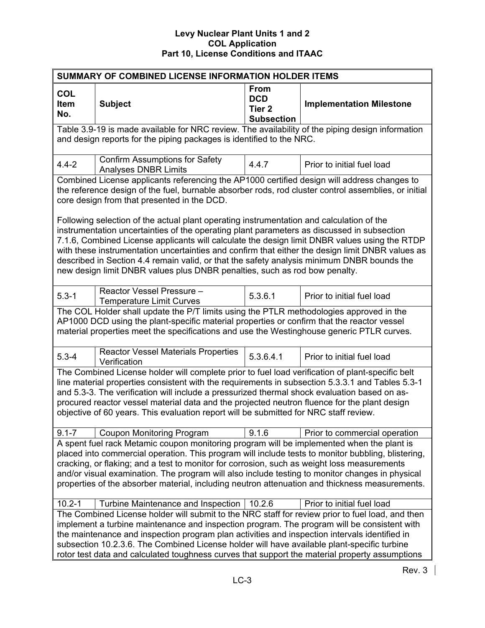| SUMMARY OF COMBINED LICENSE INFORMATION HOLDER ITEMS                                                                                                                                                                                                                                                                                                                                                                                                                                                |                                                                                                                                                                                                                                                                                                                                                                                                                                                                                                                                                                         |                                                                     |                                 |  |
|-----------------------------------------------------------------------------------------------------------------------------------------------------------------------------------------------------------------------------------------------------------------------------------------------------------------------------------------------------------------------------------------------------------------------------------------------------------------------------------------------------|-------------------------------------------------------------------------------------------------------------------------------------------------------------------------------------------------------------------------------------------------------------------------------------------------------------------------------------------------------------------------------------------------------------------------------------------------------------------------------------------------------------------------------------------------------------------------|---------------------------------------------------------------------|---------------------------------|--|
| <b>COL</b><br><b>Item</b><br>No.                                                                                                                                                                                                                                                                                                                                                                                                                                                                    | <b>Subject</b>                                                                                                                                                                                                                                                                                                                                                                                                                                                                                                                                                          | <b>From</b><br><b>DCD</b><br>Tier <sub>2</sub><br><b>Subsection</b> | <b>Implementation Milestone</b> |  |
|                                                                                                                                                                                                                                                                                                                                                                                                                                                                                                     | Table 3.9-19 is made available for NRC review. The availability of the piping design information<br>and design reports for the piping packages is identified to the NRC.                                                                                                                                                                                                                                                                                                                                                                                                |                                                                     |                                 |  |
| $4.4 - 2$                                                                                                                                                                                                                                                                                                                                                                                                                                                                                           | <b>Confirm Assumptions for Safety</b><br><b>Analyses DNBR Limits</b>                                                                                                                                                                                                                                                                                                                                                                                                                                                                                                    | 4.4.7                                                               | Prior to initial fuel load      |  |
|                                                                                                                                                                                                                                                                                                                                                                                                                                                                                                     | Combined License applicants referencing the AP1000 certified design will address changes to<br>the reference design of the fuel, burnable absorber rods, rod cluster control assemblies, or initial<br>core design from that presented in the DCD.                                                                                                                                                                                                                                                                                                                      |                                                                     |                                 |  |
|                                                                                                                                                                                                                                                                                                                                                                                                                                                                                                     | Following selection of the actual plant operating instrumentation and calculation of the<br>instrumentation uncertainties of the operating plant parameters as discussed in subsection<br>7.1.6, Combined License applicants will calculate the design limit DNBR values using the RTDP<br>with these instrumentation uncertainties and confirm that either the design limit DNBR values as<br>described in Section 4.4 remain valid, or that the safety analysis minimum DNBR bounds the<br>new design limit DNBR values plus DNBR penalties, such as rod bow penalty. |                                                                     |                                 |  |
| $5.3 - 1$                                                                                                                                                                                                                                                                                                                                                                                                                                                                                           | Reactor Vessel Pressure -<br><b>Temperature Limit Curves</b>                                                                                                                                                                                                                                                                                                                                                                                                                                                                                                            | 5.3.6.1                                                             | Prior to initial fuel load      |  |
| The COL Holder shall update the P/T limits using the PTLR methodologies approved in the<br>AP1000 DCD using the plant-specific material properties or confirm that the reactor vessel<br>material properties meet the specifications and use the Westinghouse generic PTLR curves.                                                                                                                                                                                                                  |                                                                                                                                                                                                                                                                                                                                                                                                                                                                                                                                                                         |                                                                     |                                 |  |
| $5.3 - 4$                                                                                                                                                                                                                                                                                                                                                                                                                                                                                           | <b>Reactor Vessel Materials Properties</b><br>Verification                                                                                                                                                                                                                                                                                                                                                                                                                                                                                                              | 5.3.6.4.1                                                           | Prior to initial fuel load      |  |
| The Combined License holder will complete prior to fuel load verification of plant-specific belt<br>line material properties consistent with the requirements in subsection 5.3.3.1 and Tables 5.3-1<br>and 5.3-3. The verification will include a pressurized thermal shock evaluation based on as-<br>procured reactor vessel material data and the projected neutron fluence for the plant design<br>objective of 60 years. This evaluation report will be submitted for NRC staff review.       |                                                                                                                                                                                                                                                                                                                                                                                                                                                                                                                                                                         |                                                                     |                                 |  |
| $9.1 - 7$                                                                                                                                                                                                                                                                                                                                                                                                                                                                                           | <b>Coupon Monitoring Program</b>                                                                                                                                                                                                                                                                                                                                                                                                                                                                                                                                        | 9.1.6                                                               | Prior to commercial operation   |  |
| A spent fuel rack Metamic coupon monitoring program will be implemented when the plant is<br>placed into commercial operation. This program will include tests to monitor bubbling, blistering,<br>cracking, or flaking; and a test to monitor for corrosion, such as weight loss measurements<br>and/or visual examination. The program will also include testing to monitor changes in physical<br>properties of the absorber material, including neutron attenuation and thickness measurements. |                                                                                                                                                                                                                                                                                                                                                                                                                                                                                                                                                                         |                                                                     |                                 |  |
| $10.2 - 1$<br>10.2.6<br>Prior to initial fuel load<br>Turbine Maintenance and Inspection                                                                                                                                                                                                                                                                                                                                                                                                            |                                                                                                                                                                                                                                                                                                                                                                                                                                                                                                                                                                         |                                                                     |                                 |  |
| The Combined License holder will submit to the NRC staff for review prior to fuel load, and then<br>implement a turbine maintenance and inspection program. The program will be consistent with<br>the maintenance and inspection program plan activities and inspection intervals identified in<br>subsection 10.2.3.6. The Combined License holder will have available plant-specific turbine<br>rotor test data and calculated toughness curves that support the material property assumptions   |                                                                                                                                                                                                                                                                                                                                                                                                                                                                                                                                                                         |                                                                     |                                 |  |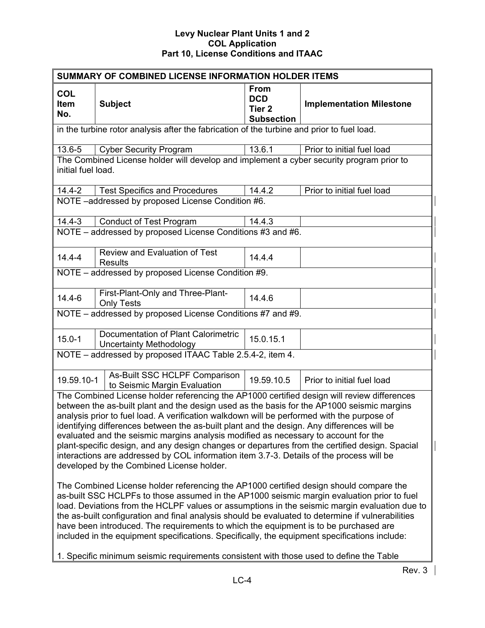| SUMMARY OF COMBINED LICENSE INFORMATION HOLDER ITEMS                                                                                                                                                                                                                                                                                                                                                                                                                                                                                                                                                                                                                                                                    |                                                                                            |                                                                     |                                 |  |
|-------------------------------------------------------------------------------------------------------------------------------------------------------------------------------------------------------------------------------------------------------------------------------------------------------------------------------------------------------------------------------------------------------------------------------------------------------------------------------------------------------------------------------------------------------------------------------------------------------------------------------------------------------------------------------------------------------------------------|--------------------------------------------------------------------------------------------|---------------------------------------------------------------------|---------------------------------|--|
| <b>COL</b><br>Item<br>No.                                                                                                                                                                                                                                                                                                                                                                                                                                                                                                                                                                                                                                                                                               | <b>Subject</b>                                                                             | <b>From</b><br><b>DCD</b><br>Tier <sub>2</sub><br><b>Subsection</b> | <b>Implementation Milestone</b> |  |
|                                                                                                                                                                                                                                                                                                                                                                                                                                                                                                                                                                                                                                                                                                                         | in the turbine rotor analysis after the fabrication of the turbine and prior to fuel load. |                                                                     |                                 |  |
| 13.6-5                                                                                                                                                                                                                                                                                                                                                                                                                                                                                                                                                                                                                                                                                                                  | <b>Cyber Security Program</b>                                                              | 13.6.1                                                              | Prior to initial fuel load      |  |
| initial fuel load.                                                                                                                                                                                                                                                                                                                                                                                                                                                                                                                                                                                                                                                                                                      | The Combined License holder will develop and implement a cyber security program prior to   |                                                                     |                                 |  |
| $14.4 - 2$                                                                                                                                                                                                                                                                                                                                                                                                                                                                                                                                                                                                                                                                                                              | <b>Test Specifics and Procedures</b>                                                       | 14.4.2                                                              | Prior to initial fuel load      |  |
|                                                                                                                                                                                                                                                                                                                                                                                                                                                                                                                                                                                                                                                                                                                         | NOTE-addressed by proposed License Condition #6.                                           |                                                                     |                                 |  |
| $14.4 - 3$                                                                                                                                                                                                                                                                                                                                                                                                                                                                                                                                                                                                                                                                                                              | <b>Conduct of Test Program</b>                                                             | 14.4.3                                                              |                                 |  |
|                                                                                                                                                                                                                                                                                                                                                                                                                                                                                                                                                                                                                                                                                                                         | NOTE - addressed by proposed License Conditions #3 and #6.                                 |                                                                     |                                 |  |
| $14.4 - 4$                                                                                                                                                                                                                                                                                                                                                                                                                                                                                                                                                                                                                                                                                                              | Review and Evaluation of Test<br><b>Results</b>                                            | 14.4.4                                                              |                                 |  |
|                                                                                                                                                                                                                                                                                                                                                                                                                                                                                                                                                                                                                                                                                                                         | NOTE - addressed by proposed License Condition #9.                                         |                                                                     |                                 |  |
| $14.4 - 6$                                                                                                                                                                                                                                                                                                                                                                                                                                                                                                                                                                                                                                                                                                              | First-Plant-Only and Three-Plant-<br><b>Only Tests</b>                                     | 14.4.6                                                              |                                 |  |
|                                                                                                                                                                                                                                                                                                                                                                                                                                                                                                                                                                                                                                                                                                                         | NOTE - addressed by proposed License Conditions #7 and #9.                                 |                                                                     |                                 |  |
| $15.0 - 1$                                                                                                                                                                                                                                                                                                                                                                                                                                                                                                                                                                                                                                                                                                              | Documentation of Plant Calorimetric<br><b>Uncertainty Methodology</b>                      | 15.0.15.1                                                           |                                 |  |
| NOTE - addressed by proposed ITAAC Table 2.5.4-2, item 4.                                                                                                                                                                                                                                                                                                                                                                                                                                                                                                                                                                                                                                                               |                                                                                            |                                                                     |                                 |  |
| 19.59.10-1                                                                                                                                                                                                                                                                                                                                                                                                                                                                                                                                                                                                                                                                                                              | As-Built SSC HCLPF Comparison<br>to Seismic Margin Evaluation                              | 19.59.10.5                                                          | Prior to initial fuel load      |  |
| The Combined License holder referencing the AP1000 certified design will review differences<br>between the as-built plant and the design used as the basis for the AP1000 seismic margins<br>analysis prior to fuel load. A verification walkdown will be performed with the purpose of<br>identifying differences between the as-built plant and the design. Any differences will be<br>evaluated and the seismic margins analysis modified as necessary to account for the<br>plant-specific design, and any design changes or departures from the certified design. Spacial<br>interactions are addressed by COL information item 3.7-3. Details of the process will be<br>developed by the Combined License holder. |                                                                                            |                                                                     |                                 |  |
| The Combined License holder referencing the AP1000 certified design should compare the<br>as-built SSC HCLPFs to those assumed in the AP1000 seismic margin evaluation prior to fuel<br>load. Deviations from the HCLPF values or assumptions in the seismic margin evaluation due to<br>the as-built configuration and final analysis should be evaluated to determine if vulnerabilities<br>have been introduced. The requirements to which the equipment is to be purchased are<br>included in the equipment specifications. Specifically, the equipment specifications include:<br>1. Specific minimum seismic requirements consistent with those used to define the Table                                          |                                                                                            |                                                                     |                                 |  |
|                                                                                                                                                                                                                                                                                                                                                                                                                                                                                                                                                                                                                                                                                                                         |                                                                                            |                                                                     | $D_{01}$ 2                      |  |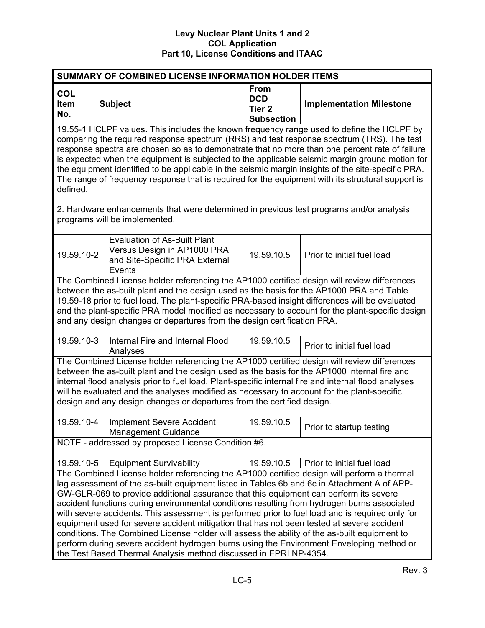| <b>From</b><br><b>COL</b><br><b>DCD</b><br><b>Implementation Milestone</b><br>Item<br><b>Subject</b><br>Tier <sub>2</sub><br>No.<br><b>Subsection</b><br>19.55-1 HCLPF values. This includes the known frequency range used to define the HCLPF by<br>comparing the required response spectrum (RRS) and test response spectrum (TRS). The test<br>response spectra are chosen so as to demonstrate that no more than one percent rate of failure<br>the equipment identified to be applicable in the seismic margin insights of the site-specific PRA.<br>The range of frequency response that is required for the equipment with its structural support is<br>defined.<br>2. Hardware enhancements that were determined in previous test programs and/or analysis<br>programs will be implemented.<br><b>Evaluation of As-Built Plant</b><br>Versus Design in AP1000 PRA<br>19.59.10-2<br>19.59.10.5<br>Prior to initial fuel load<br>and Site-Specific PRA External<br>Events<br>The Combined License holder referencing the AP1000 certified design will review differences<br>between the as-built plant and the design used as the basis for the AP1000 PRA and Table<br>19.59-18 prior to fuel load. The plant-specific PRA-based insight differences will be evaluated<br>and any design changes or departures from the design certification PRA.<br>19.59.10-3<br>Internal Fire and Internal Flood<br>19.59.10.5<br>Prior to initial fuel load<br>Analyses<br>The Combined License holder referencing the AP1000 certified design will review differences<br>between the as-built plant and the design used as the basis for the AP1000 internal fire and<br>internal flood analysis prior to fuel load. Plant-specific internal fire and internal flood analyses<br>will be evaluated and the analyses modified as necessary to account for the plant-specific<br>design and any design changes or departures from the certified design.<br>19.59.10-4<br><b>Implement Severe Accident</b><br>19.59.10.5<br>Prior to startup testing<br><b>Management Guidance</b><br>NOTE - addressed by proposed License Condition #6.<br><b>Equipment Survivability</b><br>19.59.10.5<br>Prior to initial fuel load<br>19.59.10-5<br>The Combined License holder referencing the AP1000 certified design will perform a thermal<br>lag assessment of the as-built equipment listed in Tables 6b and 6c in Attachment A of APP-<br>GW-GLR-069 to provide additional assurance that this equipment can perform its severe<br>accident functions during environmental conditions resulting from hydrogen burns associated | SUMMARY OF COMBINED LICENSE INFORMATION HOLDER ITEMS                                            |  |  |  |  |  |  |
|---------------------------------------------------------------------------------------------------------------------------------------------------------------------------------------------------------------------------------------------------------------------------------------------------------------------------------------------------------------------------------------------------------------------------------------------------------------------------------------------------------------------------------------------------------------------------------------------------------------------------------------------------------------------------------------------------------------------------------------------------------------------------------------------------------------------------------------------------------------------------------------------------------------------------------------------------------------------------------------------------------------------------------------------------------------------------------------------------------------------------------------------------------------------------------------------------------------------------------------------------------------------------------------------------------------------------------------------------------------------------------------------------------------------------------------------------------------------------------------------------------------------------------------------------------------------------------------------------------------------------------------------------------------------------------------------------------------------------------------------------------------------------------------------------------------------------------------------------------------------------------------------------------------------------------------------------------------------------------------------------------------------------------------------------------------------------------------------------------------------------------------------------------------------------------------------------------------------------------------------------------------------------------------------------------------------------------------------------------------------------------------------------------------------------------------------------------------------------------------------------------------------------------------------------------------------------------------------------------------------|-------------------------------------------------------------------------------------------------|--|--|--|--|--|--|
|                                                                                                                                                                                                                                                                                                                                                                                                                                                                                                                                                                                                                                                                                                                                                                                                                                                                                                                                                                                                                                                                                                                                                                                                                                                                                                                                                                                                                                                                                                                                                                                                                                                                                                                                                                                                                                                                                                                                                                                                                                                                                                                                                                                                                                                                                                                                                                                                                                                                                                                                                                                                                     |                                                                                                 |  |  |  |  |  |  |
|                                                                                                                                                                                                                                                                                                                                                                                                                                                                                                                                                                                                                                                                                                                                                                                                                                                                                                                                                                                                                                                                                                                                                                                                                                                                                                                                                                                                                                                                                                                                                                                                                                                                                                                                                                                                                                                                                                                                                                                                                                                                                                                                                                                                                                                                                                                                                                                                                                                                                                                                                                                                                     | is expected when the equipment is subjected to the applicable seismic margin ground motion for  |  |  |  |  |  |  |
|                                                                                                                                                                                                                                                                                                                                                                                                                                                                                                                                                                                                                                                                                                                                                                                                                                                                                                                                                                                                                                                                                                                                                                                                                                                                                                                                                                                                                                                                                                                                                                                                                                                                                                                                                                                                                                                                                                                                                                                                                                                                                                                                                                                                                                                                                                                                                                                                                                                                                                                                                                                                                     |                                                                                                 |  |  |  |  |  |  |
|                                                                                                                                                                                                                                                                                                                                                                                                                                                                                                                                                                                                                                                                                                                                                                                                                                                                                                                                                                                                                                                                                                                                                                                                                                                                                                                                                                                                                                                                                                                                                                                                                                                                                                                                                                                                                                                                                                                                                                                                                                                                                                                                                                                                                                                                                                                                                                                                                                                                                                                                                                                                                     |                                                                                                 |  |  |  |  |  |  |
|                                                                                                                                                                                                                                                                                                                                                                                                                                                                                                                                                                                                                                                                                                                                                                                                                                                                                                                                                                                                                                                                                                                                                                                                                                                                                                                                                                                                                                                                                                                                                                                                                                                                                                                                                                                                                                                                                                                                                                                                                                                                                                                                                                                                                                                                                                                                                                                                                                                                                                                                                                                                                     | and the plant-specific PRA model modified as necessary to account for the plant-specific design |  |  |  |  |  |  |
|                                                                                                                                                                                                                                                                                                                                                                                                                                                                                                                                                                                                                                                                                                                                                                                                                                                                                                                                                                                                                                                                                                                                                                                                                                                                                                                                                                                                                                                                                                                                                                                                                                                                                                                                                                                                                                                                                                                                                                                                                                                                                                                                                                                                                                                                                                                                                                                                                                                                                                                                                                                                                     |                                                                                                 |  |  |  |  |  |  |
|                                                                                                                                                                                                                                                                                                                                                                                                                                                                                                                                                                                                                                                                                                                                                                                                                                                                                                                                                                                                                                                                                                                                                                                                                                                                                                                                                                                                                                                                                                                                                                                                                                                                                                                                                                                                                                                                                                                                                                                                                                                                                                                                                                                                                                                                                                                                                                                                                                                                                                                                                                                                                     |                                                                                                 |  |  |  |  |  |  |
|                                                                                                                                                                                                                                                                                                                                                                                                                                                                                                                                                                                                                                                                                                                                                                                                                                                                                                                                                                                                                                                                                                                                                                                                                                                                                                                                                                                                                                                                                                                                                                                                                                                                                                                                                                                                                                                                                                                                                                                                                                                                                                                                                                                                                                                                                                                                                                                                                                                                                                                                                                                                                     |                                                                                                 |  |  |  |  |  |  |
|                                                                                                                                                                                                                                                                                                                                                                                                                                                                                                                                                                                                                                                                                                                                                                                                                                                                                                                                                                                                                                                                                                                                                                                                                                                                                                                                                                                                                                                                                                                                                                                                                                                                                                                                                                                                                                                                                                                                                                                                                                                                                                                                                                                                                                                                                                                                                                                                                                                                                                                                                                                                                     |                                                                                                 |  |  |  |  |  |  |
| with severe accidents. This assessment is performed prior to fuel load and is required only for<br>equipment used for severe accident mitigation that has not been tested at severe accident<br>conditions. The Combined License holder will assess the ability of the as-built equipment to<br>perform during severe accident hydrogen burns using the Environment Enveloping method or<br>the Test Based Thermal Analysis method discussed in EPRI NP-4354.                                                                                                                                                                                                                                                                                                                                                                                                                                                                                                                                                                                                                                                                                                                                                                                                                                                                                                                                                                                                                                                                                                                                                                                                                                                                                                                                                                                                                                                                                                                                                                                                                                                                                                                                                                                                                                                                                                                                                                                                                                                                                                                                                       |                                                                                                 |  |  |  |  |  |  |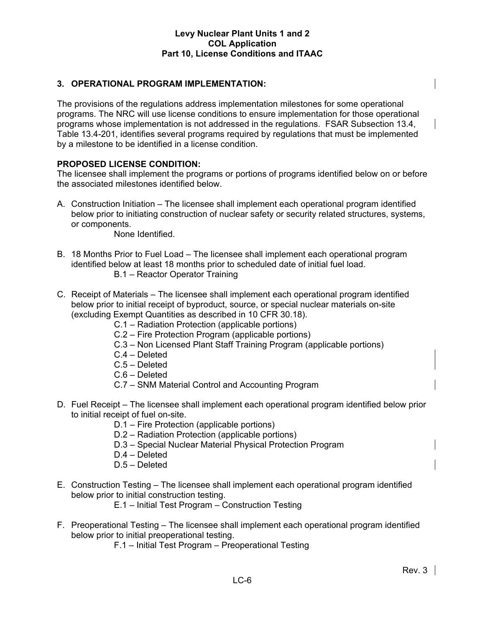## **3. OPERATIONAL PROGRAM IMPLEMENTATION:**

The provisions of the regulations address implementation milestones for some operational programs. The NRC will use license conditions to ensure implementation for those operational programs whose implementation is not addressed in the regulations. FSAR Subsection 13.4, Table 13.4-201, identifies several programs required by regulations that must be implemented by a milestone to be identified in a license condition.

## **PROPOSED LICENSE CONDITION:**

The licensee shall implement the programs or portions of programs identified below on or before the associated milestones identified below.

A. Construction Initiation – The licensee shall implement each operational program identified below prior to initiating construction of nuclear safety or security related structures, systems, or components.

None Identified.

- B. 18 Months Prior to Fuel Load The licensee shall implement each operational program identified below at least 18 months prior to scheduled date of initial fuel load. B.1 – Reactor Operator Training
- C. Receipt of Materials The licensee shall implement each operational program identified below prior to initial receipt of byproduct, source, or special nuclear materials on-site (excluding Exempt Quantities as described in 10 CFR 30.18).
	- C.1 Radiation Protection (applicable portions)
	- C.2 Fire Protection Program (applicable portions)
	- C.3 Non Licensed Plant Staff Training Program (applicable portions)
	- C.4 Deleted
	- C.5 Deleted
	- C.6 Deleted
	- C.7 SNM Material Control and Accounting Program
- D. Fuel Receipt The licensee shall implement each operational program identified below prior to initial receipt of fuel on-site.
	- D.1 Fire Protection (applicable portions)
	- D.2 Radiation Protection (applicable portions)
	- D.3 Special Nuclear Material Physical Protection Program
	- D.4 Deleted
	- D.5 Deleted
- E. Construction Testing The licensee shall implement each operational program identified below prior to initial construction testing.
	- E.1 Initial Test Program Construction Testing
- F. Preoperational Testing The licensee shall implement each operational program identified below prior to initial preoperational testing.
	- F.1 Initial Test Program Preoperational Testing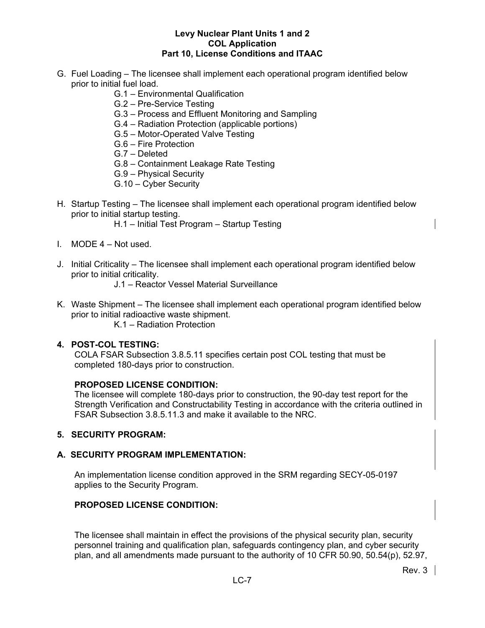- G. Fuel Loading The licensee shall implement each operational program identified below prior to initial fuel load.
	- G.1 Environmental Qualification
	- G.2 Pre-Service Testing
	- G.3 Process and Effluent Monitoring and Sampling
	- G.4 Radiation Protection (applicable portions)
	- G.5 Motor-Operated Valve Testing
	- G.6 Fire Protection
	- G.7 Deleted
	- G.8 Containment Leakage Rate Testing
	- G.9 Physical Security
	- G.10 Cyber Security
- H. Startup Testing The licensee shall implement each operational program identified below prior to initial startup testing.
	- H.1 Initial Test Program Startup Testing
- I. MODE 4 Not used.
- J. Initial Criticality The licensee shall implement each operational program identified below prior to initial criticality.
	- J.1 Reactor Vessel Material Surveillance
- K. Waste Shipment The licensee shall implement each operational program identified below prior to initial radioactive waste shipment.
	- K.1 Radiation Protection

### **4. POST-COL TESTING:**

COLA FSAR Subsection 3.8.5.11 specifies certain post COL testing that must be completed 180-days prior to construction.

#### **PROPOSED LICENSE CONDITION:**

The licensee will complete 180-days prior to construction, the 90-day test report for the Strength Verification and Constructability Testing in accordance with the criteria outlined in FSAR Subsection 3.8.5.11.3 and make it available to the NRC.

#### **5. SECURITY PROGRAM:**

## **A. SECURITY PROGRAM IMPLEMENTATION:**

An implementation license condition approved in the SRM regarding SECY-05-0197 applies to the Security Program.

## **PROPOSED LICENSE CONDITION:**

The licensee shall maintain in effect the provisions of the physical security plan, security personnel training and qualification plan, safeguards contingency plan, and cyber security plan, and all amendments made pursuant to the authority of 10 CFR 50.90, 50.54(p), 52.97,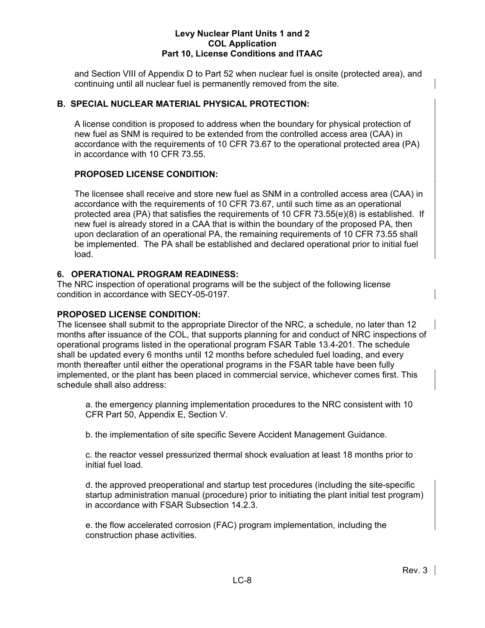and Section VIII of Appendix D to Part 52 when nuclear fuel is onsite (protected area), and continuing until all nuclear fuel is permanently removed from the site.

## **B. SPECIAL NUCLEAR MATERIAL PHYSICAL PROTECTION:**

A license condition is proposed to address when the boundary for physical protection of new fuel as SNM is required to be extended from the controlled access area (CAA) in accordance with the requirements of 10 CFR 73.67 to the operational protected area (PA) in accordance with 10 CFR 73.55.

## **PROPOSED LICENSE CONDITION:**

The licensee shall receive and store new fuel as SNM in a controlled access area (CAA) in accordance with the requirements of 10 CFR 73.67, until such time as an operational protected area (PA) that satisfies the requirements of 10 CFR 73.55(e)(8) is established. If new fuel is already stored in a CAA that is within the boundary of the proposed PA, then upon declaration of an operational PA, the remaining requirements of 10 CFR 73.55 shall be implemented. The PA shall be established and declared operational prior to initial fuel load.

## **6. OPERATIONAL PROGRAM READINESS:**

The NRC inspection of operational programs will be the subject of the following license condition in accordance with SECY-05-0197.

## **PROPOSED LICENSE CONDITION:**

The licensee shall submit to the appropriate Director of the NRC, a schedule, no later than 12 months after issuance of the COL, that supports planning for and conduct of NRC inspections of operational programs listed in the operational program FSAR Table 13.4-201. The schedule shall be updated every 6 months until 12 months before scheduled fuel loading, and every month thereafter until either the operational programs in the FSAR table have been fully implemented, or the plant has been placed in commercial service, whichever comes first. This schedule shall also address:

a. the emergency planning implementation procedures to the NRC consistent with 10 CFR Part 50, Appendix E, Section V.

b. the implementation of site specific Severe Accident Management Guidance.

c. the reactor vessel pressurized thermal shock evaluation at least 18 months prior to initial fuel load.

d. the approved preoperational and startup test procedures (including the site-specific startup administration manual (procedure) prior to initiating the plant initial test program) in accordance with FSAR Subsection 14.2.3.

e. the flow accelerated corrosion (FAC) program implementation, including the construction phase activities.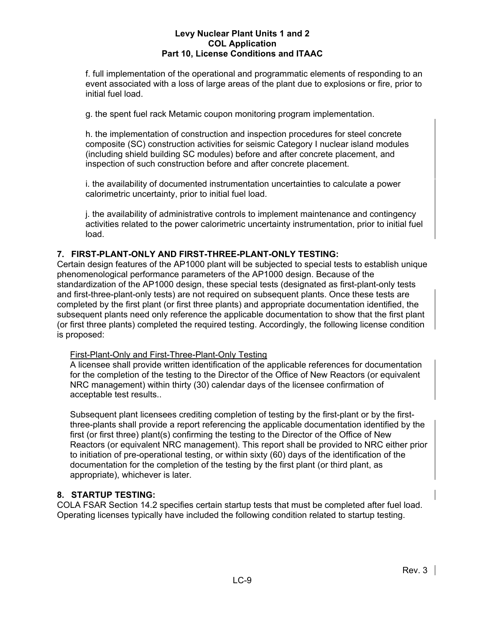f. full implementation of the operational and programmatic elements of responding to an event associated with a loss of large areas of the plant due to explosions or fire, prior to initial fuel load.

g. the spent fuel rack Metamic coupon monitoring program implementation.

h. the implementation of construction and inspection procedures for steel concrete composite (SC) construction activities for seismic Category I nuclear island modules (including shield building SC modules) before and after concrete placement, and inspection of such construction before and after concrete placement.

i. the availability of documented instrumentation uncertainties to calculate a power calorimetric uncertainty, prior to initial fuel load.

j. the availability of administrative controls to implement maintenance and contingency activities related to the power calorimetric uncertainty instrumentation, prior to initial fuel load.

## **7. FIRST-PLANT-ONLY AND FIRST-THREE-PLANT-ONLY TESTING:**

Certain design features of the AP1000 plant will be subjected to special tests to establish unique phenomenological performance parameters of the AP1000 design. Because of the standardization of the AP1000 design, these special tests (designated as first-plant-only tests and first-three-plant-only tests) are not required on subsequent plants. Once these tests are completed by the first plant (or first three plants) and appropriate documentation identified, the subsequent plants need only reference the applicable documentation to show that the first plant (or first three plants) completed the required testing. Accordingly, the following license condition is proposed:

## First-Plant-Only and First-Three-Plant-Only Testing

A licensee shall provide written identification of the applicable references for documentation for the completion of the testing to the Director of the Office of New Reactors (or equivalent NRC management) within thirty (30) calendar days of the licensee confirmation of acceptable test results..

Subsequent plant licensees crediting completion of testing by the first-plant or by the firstthree-plants shall provide a report referencing the applicable documentation identified by the first (or first three) plant(s) confirming the testing to the Director of the Office of New Reactors (or equivalent NRC management). This report shall be provided to NRC either prior to initiation of pre-operational testing, or within sixty (60) days of the identification of the documentation for the completion of the testing by the first plant (or third plant, as appropriate), whichever is later.

## **8. STARTUP TESTING:**

COLA FSAR Section 14.2 specifies certain startup tests that must be completed after fuel load. Operating licenses typically have included the following condition related to startup testing.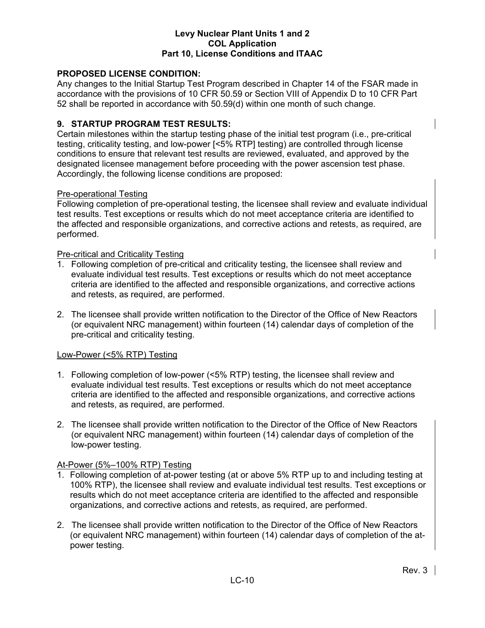## **PROPOSED LICENSE CONDITION:**

Any changes to the Initial Startup Test Program described in Chapter 14 of the FSAR made in accordance with the provisions of 10 CFR 50.59 or Section VIII of Appendix D to 10 CFR Part 52 shall be reported in accordance with 50.59(d) within one month of such change.

## **9. STARTUP PROGRAM TEST RESULTS:**

Certain milestones within the startup testing phase of the initial test program (i.e., pre-critical testing, criticality testing, and low-power [<5% RTP] testing) are controlled through license conditions to ensure that relevant test results are reviewed, evaluated, and approved by the designated licensee management before proceeding with the power ascension test phase. Accordingly, the following license conditions are proposed:

#### Pre-operational Testing

Following completion of pre-operational testing, the licensee shall review and evaluate individual test results. Test exceptions or results which do not meet acceptance criteria are identified to the affected and responsible organizations, and corrective actions and retests, as required, are performed.

#### Pre-critical and Criticality Testing

- 1. Following completion of pre-critical and criticality testing, the licensee shall review and evaluate individual test results. Test exceptions or results which do not meet acceptance criteria are identified to the affected and responsible organizations, and corrective actions and retests, as required, are performed.
- 2. The licensee shall provide written notification to the Director of the Office of New Reactors (or equivalent NRC management) within fourteen (14) calendar days of completion of the pre-critical and criticality testing.

#### Low-Power (<5% RTP) Testing

- 1. Following completion of low-power (<5% RTP) testing, the licensee shall review and evaluate individual test results. Test exceptions or results which do not meet acceptance criteria are identified to the affected and responsible organizations, and corrective actions and retests, as required, are performed.
- 2. The licensee shall provide written notification to the Director of the Office of New Reactors (or equivalent NRC management) within fourteen (14) calendar days of completion of the low-power testing.

#### At-Power (5%–100% RTP) Testing

- 1. Following completion of at-power testing (at or above 5% RTP up to and including testing at 100% RTP), the licensee shall review and evaluate individual test results. Test exceptions or results which do not meet acceptance criteria are identified to the affected and responsible organizations, and corrective actions and retests, as required, are performed.
- 2. The licensee shall provide written notification to the Director of the Office of New Reactors (or equivalent NRC management) within fourteen (14) calendar days of completion of the atpower testing.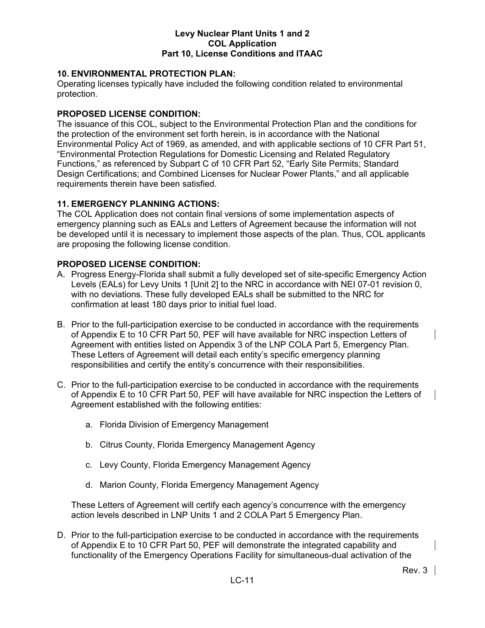## **10. ENVIRONMENTAL PROTECTION PLAN:**

Operating licenses typically have included the following condition related to environmental protection.

## **PROPOSED LICENSE CONDITION:**

The issuance of this COL, subject to the Environmental Protection Plan and the conditions for the protection of the environment set forth herein, is in accordance with the National Environmental Policy Act of 1969, as amended, and with applicable sections of 10 CFR Part 51, "Environmental Protection Regulations for Domestic Licensing and Related Regulatory Functions," as referenced by Subpart C of 10 CFR Part 52, "Early Site Permits; Standard Design Certifications; and Combined Licenses for Nuclear Power Plants," and all applicable requirements therein have been satisfied.

## **11. EMERGENCY PLANNING ACTIONS:**

The COL Application does not contain final versions of some implementation aspects of emergency planning such as EALs and Letters of Agreement because the information will not be developed until it is necessary to implement those aspects of the plan. Thus, COL applicants are proposing the following license condition.

## **PROPOSED LICENSE CONDITION:**

- A. Progress Energy-Florida shall submit a fully developed set of site-specific Emergency Action Levels (EALs) for Levy Units 1 [Unit 2] to the NRC in accordance with NEI 07-01 revision 0, with no deviations. These fully developed EALs shall be submitted to the NRC for confirmation at least 180 days prior to initial fuel load.
- B. Prior to the full-participation exercise to be conducted in accordance with the requirements of Appendix E to 10 CFR Part 50, PEF will have available for NRC inspection Letters of Agreement with entities listed on Appendix 3 of the LNP COLA Part 5, Emergency Plan. These Letters of Agreement will detail each entity's specific emergency planning responsibilities and certify the entity's concurrence with their responsibilities.
- C. Prior to the full-participation exercise to be conducted in accordance with the requirements of Appendix E to 10 CFR Part 50, PEF will have available for NRC inspection the Letters of Agreement established with the following entities:
	- a. Florida Division of Emergency Management
	- b. Citrus County, Florida Emergency Management Agency
	- c. Levy County, Florida Emergency Management Agency
	- d. Marion County, Florida Emergency Management Agency

These Letters of Agreement will certify each agency's concurrence with the emergency action levels described in LNP Units 1 and 2 COLA Part 5 Emergency Plan.

D. Prior to the full-participation exercise to be conducted in accordance with the requirements of Appendix E to 10 CFR Part 50, PEF will demonstrate the integrated capability and functionality of the Emergency Operations Facility for simultaneous-dual activation of the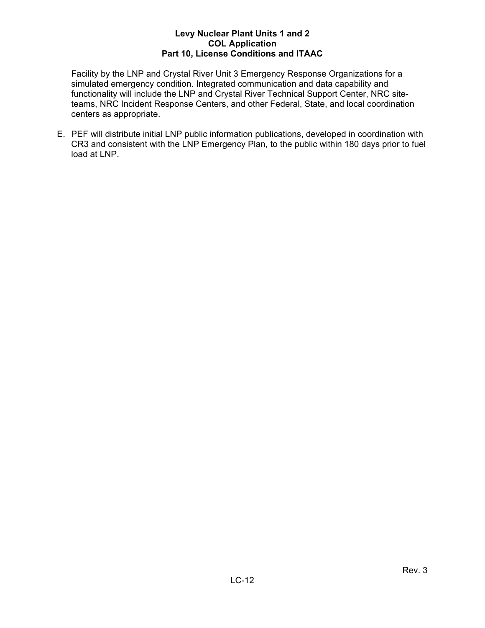Facility by the LNP and Crystal River Unit 3 Emergency Response Organizations for a simulated emergency condition. Integrated communication and data capability and functionality will include the LNP and Crystal River Technical Support Center, NRC siteteams, NRC Incident Response Centers, and other Federal, State, and local coordination centers as appropriate.

E. PEF will distribute initial LNP public information publications, developed in coordination with CR3 and consistent with the LNP Emergency Plan, to the public within 180 days prior to fuel load at LNP.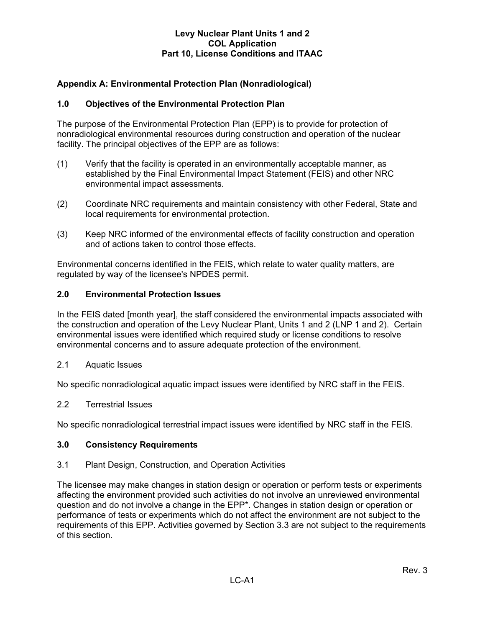## **Appendix A: Environmental Protection Plan (Nonradiological)**

## **1.0 Objectives of the Environmental Protection Plan**

The purpose of the Environmental Protection Plan (EPP) is to provide for protection of nonradiological environmental resources during construction and operation of the nuclear facility. The principal objectives of the EPP are as follows:

- (1) Verify that the facility is operated in an environmentally acceptable manner, as established by the Final Environmental Impact Statement (FEIS) and other NRC environmental impact assessments.
- (2) Coordinate NRC requirements and maintain consistency with other Federal, State and local requirements for environmental protection.
- (3) Keep NRC informed of the environmental effects of facility construction and operation and of actions taken to control those effects.

Environmental concerns identified in the FEIS, which relate to water quality matters, are regulated by way of the licensee's NPDES permit.

#### **2.0 Environmental Protection Issues**

In the FEIS dated [month year], the staff considered the environmental impacts associated with the construction and operation of the Levy Nuclear Plant, Units 1 and 2 (LNP 1 and 2). Certain environmental issues were identified which required study or license conditions to resolve environmental concerns and to assure adequate protection of the environment.

2.1 Aquatic Issues

No specific nonradiological aquatic impact issues were identified by NRC staff in the FEIS.

2.2 Terrestrial Issues

No specific nonradiological terrestrial impact issues were identified by NRC staff in the FEIS.

#### **3.0 Consistency Requirements**

3.1 Plant Design, Construction, and Operation Activities

The licensee may make changes in station design or operation or perform tests or experiments affecting the environment provided such activities do not involve an unreviewed environmental question and do not involve a change in the EPP\*. Changes in station design or operation or performance of tests or experiments which do not affect the environment are not subject to the requirements of this EPP. Activities governed by Section 3.3 are not subject to the requirements of this section.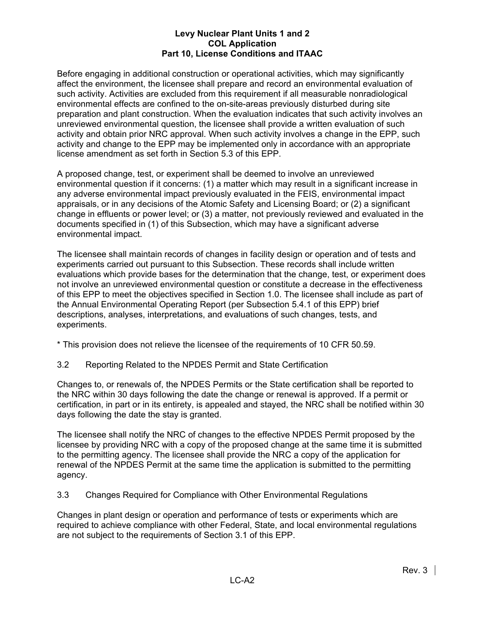Before engaging in additional construction or operational activities, which may significantly affect the environment, the licensee shall prepare and record an environmental evaluation of such activity. Activities are excluded from this requirement if all measurable nonradiological environmental effects are confined to the on-site-areas previously disturbed during site preparation and plant construction. When the evaluation indicates that such activity involves an unreviewed environmental question, the licensee shall provide a written evaluation of such activity and obtain prior NRC approval. When such activity involves a change in the EPP, such activity and change to the EPP may be implemented only in accordance with an appropriate license amendment as set forth in Section 5.3 of this EPP.

A proposed change, test, or experiment shall be deemed to involve an unreviewed environmental question if it concerns: (1) a matter which may result in a significant increase in any adverse environmental impact previously evaluated in the FEIS, environmental impact appraisals, or in any decisions of the Atomic Safety and Licensing Board; or (2) a significant change in effluents or power level; or (3) a matter, not previously reviewed and evaluated in the documents specified in (1) of this Subsection, which may have a significant adverse environmental impact.

The licensee shall maintain records of changes in facility design or operation and of tests and experiments carried out pursuant to this Subsection. These records shall include written evaluations which provide bases for the determination that the change, test, or experiment does not involve an unreviewed environmental question or constitute a decrease in the effectiveness of this EPP to meet the objectives specified in Section 1.0. The licensee shall include as part of the Annual Environmental Operating Report (per Subsection 5.4.1 of this EPP) brief descriptions, analyses, interpretations, and evaluations of such changes, tests, and experiments.

\* This provision does not relieve the licensee of the requirements of 10 CFR 50.59.

3.2 Reporting Related to the NPDES Permit and State Certification

Changes to, or renewals of, the NPDES Permits or the State certification shall be reported to the NRC within 30 days following the date the change or renewal is approved. If a permit or certification, in part or in its entirety, is appealed and stayed, the NRC shall be notified within 30 days following the date the stay is granted.

The licensee shall notify the NRC of changes to the effective NPDES Permit proposed by the licensee by providing NRC with a copy of the proposed change at the same time it is submitted to the permitting agency. The licensee shall provide the NRC a copy of the application for renewal of the NPDES Permit at the same time the application is submitted to the permitting agency.

3.3 Changes Required for Compliance with Other Environmental Regulations

Changes in plant design or operation and performance of tests or experiments which are required to achieve compliance with other Federal, State, and local environmental regulations are not subject to the requirements of Section 3.1 of this EPP.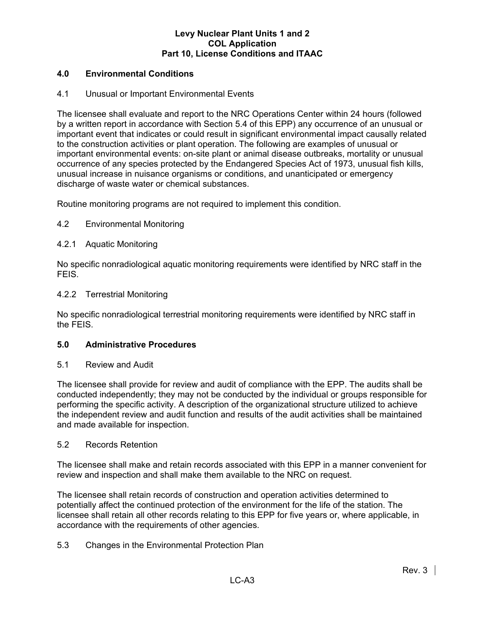## **4.0 Environmental Conditions**

## 4.1 Unusual or Important Environmental Events

The licensee shall evaluate and report to the NRC Operations Center within 24 hours (followed by a written report in accordance with Section 5.4 of this EPP) any occurrence of an unusual or important event that indicates or could result in significant environmental impact causally related to the construction activities or plant operation. The following are examples of unusual or important environmental events: on-site plant or animal disease outbreaks, mortality or unusual occurrence of any species protected by the Endangered Species Act of 1973, unusual fish kills, unusual increase in nuisance organisms or conditions, and unanticipated or emergency discharge of waste water or chemical substances.

Routine monitoring programs are not required to implement this condition.

## 4.2 Environmental Monitoring

## 4.2.1 Aquatic Monitoring

No specific nonradiological aquatic monitoring requirements were identified by NRC staff in the FEIS.

#### 4.2.2 Terrestrial Monitoring

No specific nonradiological terrestrial monitoring requirements were identified by NRC staff in the FEIS.

#### **5.0 Administrative Procedures**

#### 5.1 Review and Audit

The licensee shall provide for review and audit of compliance with the EPP. The audits shall be conducted independently; they may not be conducted by the individual or groups responsible for performing the specific activity. A description of the organizational structure utilized to achieve the independent review and audit function and results of the audit activities shall be maintained and made available for inspection.

#### 5.2 Records Retention

The licensee shall make and retain records associated with this EPP in a manner convenient for review and inspection and shall make them available to the NRC on request.

The licensee shall retain records of construction and operation activities determined to potentially affect the continued protection of the environment for the life of the station. The licensee shall retain all other records relating to this EPP for five years or, where applicable, in accordance with the requirements of other agencies.

## 5.3 Changes in the Environmental Protection Plan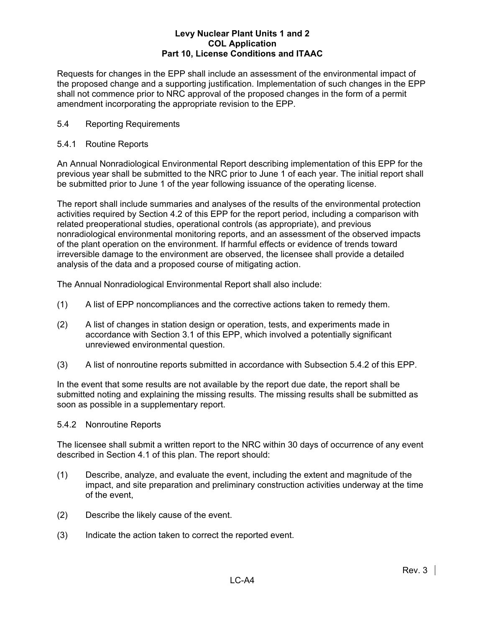Requests for changes in the EPP shall include an assessment of the environmental impact of the proposed change and a supporting justification. Implementation of such changes in the EPP shall not commence prior to NRC approval of the proposed changes in the form of a permit amendment incorporating the appropriate revision to the EPP.

## 5.4 Reporting Requirements

## 5.4.1 Routine Reports

An Annual Nonradiological Environmental Report describing implementation of this EPP for the previous year shall be submitted to the NRC prior to June 1 of each year. The initial report shall be submitted prior to June 1 of the year following issuance of the operating license.

The report shall include summaries and analyses of the results of the environmental protection activities required by Section 4.2 of this EPP for the report period, including a comparison with related preoperational studies, operational controls (as appropriate), and previous nonradiological environmental monitoring reports, and an assessment of the observed impacts of the plant operation on the environment. If harmful effects or evidence of trends toward irreversible damage to the environment are observed, the licensee shall provide a detailed analysis of the data and a proposed course of mitigating action.

The Annual Nonradiological Environmental Report shall also include:

- (1) A list of EPP noncompliances and the corrective actions taken to remedy them.
- (2) A list of changes in station design or operation, tests, and experiments made in accordance with Section 3.1 of this EPP, which involved a potentially significant unreviewed environmental question.
- (3) A list of nonroutine reports submitted in accordance with Subsection 5.4.2 of this EPP.

In the event that some results are not available by the report due date, the report shall be submitted noting and explaining the missing results. The missing results shall be submitted as soon as possible in a supplementary report.

## 5.4.2 Nonroutine Reports

The licensee shall submit a written report to the NRC within 30 days of occurrence of any event described in Section 4.1 of this plan. The report should:

- (1) Describe, analyze, and evaluate the event, including the extent and magnitude of the impact, and site preparation and preliminary construction activities underway at the time of the event,
- (2) Describe the likely cause of the event.
- (3) Indicate the action taken to correct the reported event.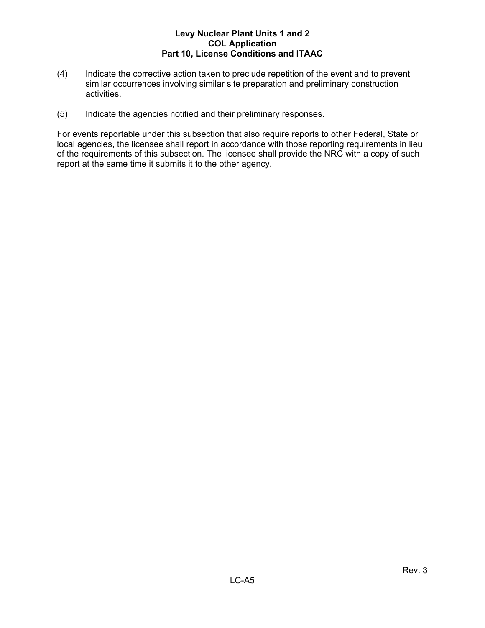- (4) Indicate the corrective action taken to preclude repetition of the event and to prevent similar occurrences involving similar site preparation and preliminary construction activities.
- (5) Indicate the agencies notified and their preliminary responses.

For events reportable under this subsection that also require reports to other Federal, State or local agencies, the licensee shall report in accordance with those reporting requirements in lieu of the requirements of this subsection. The licensee shall provide the NRC with a copy of such report at the same time it submits it to the other agency.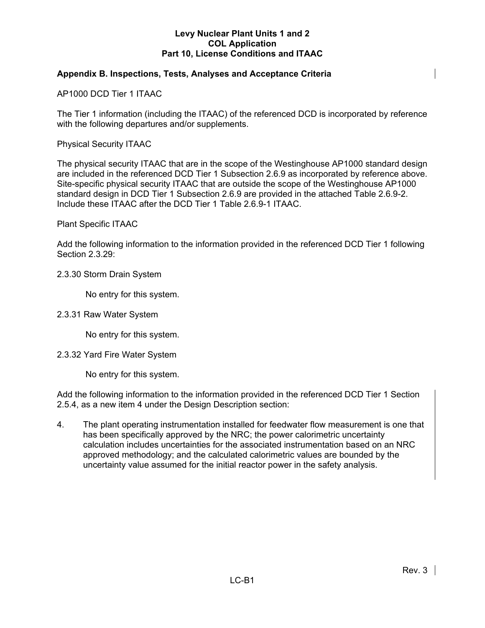## **Appendix B. Inspections, Tests, Analyses and Acceptance Criteria**

AP1000 DCD Tier 1 ITAAC

The Tier 1 information (including the ITAAC) of the referenced DCD is incorporated by reference with the following departures and/or supplements.

Physical Security ITAAC

The physical security ITAAC that are in the scope of the Westinghouse AP1000 standard design are included in the referenced DCD Tier 1 Subsection 2.6.9 as incorporated by reference above. Site-specific physical security ITAAC that are outside the scope of the Westinghouse AP1000 standard design in DCD Tier 1 Subsection 2.6.9 are provided in the attached Table 2.6.9-2. Include these ITAAC after the DCD Tier 1 Table 2.6.9-1 ITAAC.

#### Plant Specific ITAAC

Add the following information to the information provided in the referenced DCD Tier 1 following Section 2.3.29:

#### 2.3.30 Storm Drain System

No entry for this system.

#### 2.3.31 Raw Water System

No entry for this system.

#### 2.3.32 Yard Fire Water System

No entry for this system.

Add the following information to the information provided in the referenced DCD Tier 1 Section 2.5.4, as a new item 4 under the Design Description section:

4. The plant operating instrumentation installed for feedwater flow measurement is one that has been specifically approved by the NRC; the power calorimetric uncertainty calculation includes uncertainties for the associated instrumentation based on an NRC approved methodology; and the calculated calorimetric values are bounded by the uncertainty value assumed for the initial reactor power in the safety analysis.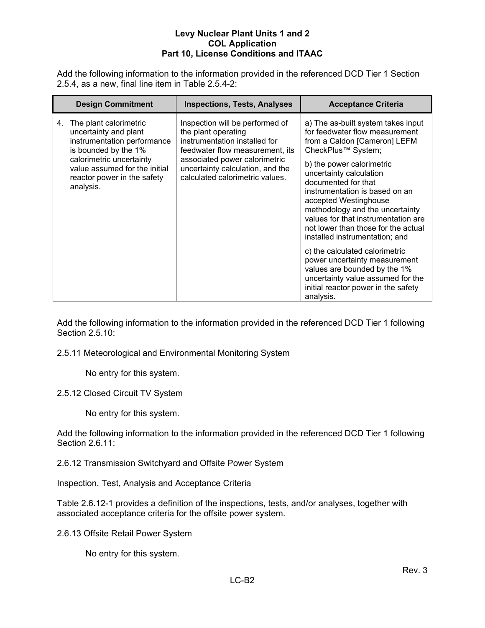Add the following information to the information provided in the referenced DCD Tier 1 Section 2.5.4, as a new, final line item in Table 2.5.4-2:

| <b>Design Commitment</b>                                                                                                                                                                                              | <b>Inspections, Tests, Analyses</b>                                                                                                                                                                                                | <b>Acceptance Criteria</b>                                                                                                                                                                                                                                                                                                                                                                                                          |
|-----------------------------------------------------------------------------------------------------------------------------------------------------------------------------------------------------------------------|------------------------------------------------------------------------------------------------------------------------------------------------------------------------------------------------------------------------------------|-------------------------------------------------------------------------------------------------------------------------------------------------------------------------------------------------------------------------------------------------------------------------------------------------------------------------------------------------------------------------------------------------------------------------------------|
| The plant calorimetric<br>4.<br>uncertainty and plant<br>instrumentation performance<br>is bounded by the 1%<br>calorimetric uncertainty<br>value assumed for the initial<br>reactor power in the safety<br>analysis. | Inspection will be performed of<br>the plant operating<br>instrumentation installed for<br>feedwater flow measurement, its<br>associated power calorimetric<br>uncertainty calculation, and the<br>calculated calorimetric values. | a) The as-built system takes input<br>for feedwater flow measurement<br>from a Caldon [Cameron] LEFM<br>CheckPlus <sup>™</sup> System;<br>b) the power calorimetric<br>uncertainty calculation<br>documented for that<br>instrumentation is based on an<br>accepted Westinghouse<br>methodology and the uncertainty<br>values for that instrumentation are<br>not lower than those for the actual<br>installed instrumentation; and |
|                                                                                                                                                                                                                       |                                                                                                                                                                                                                                    | c) the calculated calorimetric<br>power uncertainty measurement<br>values are bounded by the 1%<br>uncertainty value assumed for the<br>initial reactor power in the safety<br>analysis.                                                                                                                                                                                                                                            |

Add the following information to the information provided in the referenced DCD Tier 1 following Section 2.5.10:

2.5.11 Meteorological and Environmental Monitoring System

No entry for this system.

2.5.12 Closed Circuit TV System

No entry for this system.

Add the following information to the information provided in the referenced DCD Tier 1 following Section 2.6.11:

2.6.12 Transmission Switchyard and Offsite Power System

Inspection, Test, Analysis and Acceptance Criteria

Table 2.6.12-1 provides a definition of the inspections, tests, and/or analyses, together with associated acceptance criteria for the offsite power system.

2.6.13 Offsite Retail Power System

No entry for this system.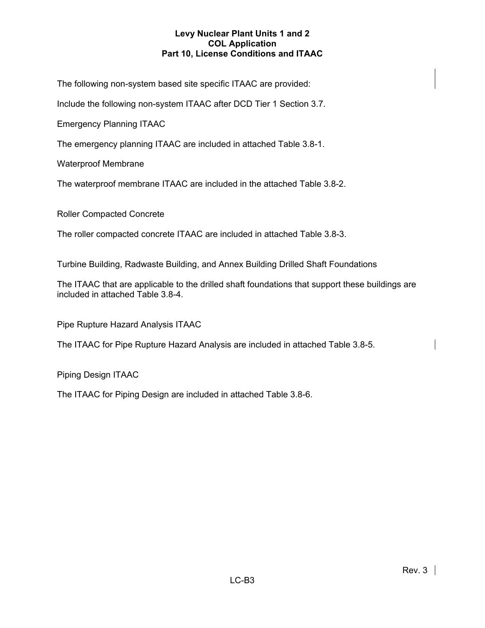The following non-system based site specific ITAAC are provided:

Include the following non-system ITAAC after DCD Tier 1 Section 3.7.

Emergency Planning ITAAC

The emergency planning ITAAC are included in attached Table 3.8-1.

Waterproof Membrane

The waterproof membrane ITAAC are included in the attached Table 3.8-2.

Roller Compacted Concrete

The roller compacted concrete ITAAC are included in attached Table 3.8-3.

Turbine Building, Radwaste Building, and Annex Building Drilled Shaft Foundations

The ITAAC that are applicable to the drilled shaft foundations that support these buildings are included in attached Table 3.8-4.

Pipe Rupture Hazard Analysis ITAAC

The ITAAC for Pipe Rupture Hazard Analysis are included in attached Table 3.8-5.

Piping Design ITAAC

The ITAAC for Piping Design are included in attached Table 3.8-6.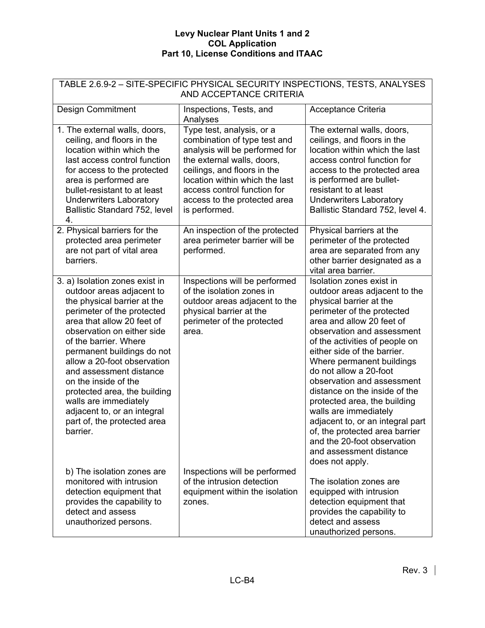| TABLE 2.6.9-2 - SITE-SPECIFIC PHYSICAL SECURITY INSPECTIONS, TESTS, ANALYSES<br>AND ACCEPTANCE CRITERIA                                                                                                                                                                                                                                                                                                                                                          |                                                                                                                                                                                                                                                                            |                                                                                                                                                                                                                                                                                                                                                                                                                                                                                                                                                                                  |  |
|------------------------------------------------------------------------------------------------------------------------------------------------------------------------------------------------------------------------------------------------------------------------------------------------------------------------------------------------------------------------------------------------------------------------------------------------------------------|----------------------------------------------------------------------------------------------------------------------------------------------------------------------------------------------------------------------------------------------------------------------------|----------------------------------------------------------------------------------------------------------------------------------------------------------------------------------------------------------------------------------------------------------------------------------------------------------------------------------------------------------------------------------------------------------------------------------------------------------------------------------------------------------------------------------------------------------------------------------|--|
| <b>Design Commitment</b>                                                                                                                                                                                                                                                                                                                                                                                                                                         | Inspections, Tests, and<br>Analyses                                                                                                                                                                                                                                        | Acceptance Criteria                                                                                                                                                                                                                                                                                                                                                                                                                                                                                                                                                              |  |
| 1. The external walls, doors,<br>ceiling, and floors in the<br>location within which the<br>last access control function<br>for access to the protected<br>area is performed are<br>bullet-resistant to at least<br><b>Underwriters Laboratory</b><br>Ballistic Standard 752, level<br>4.                                                                                                                                                                        | Type test, analysis, or a<br>combination of type test and<br>analysis will be performed for<br>the external walls, doors,<br>ceilings, and floors in the<br>location within which the last<br>access control function for<br>access to the protected area<br>is performed. | The external walls, doors,<br>ceilings, and floors in the<br>location within which the last<br>access control function for<br>access to the protected area<br>is performed are bullet-<br>resistant to at least<br><b>Underwriters Laboratory</b><br>Ballistic Standard 752, level 4.                                                                                                                                                                                                                                                                                            |  |
| 2. Physical barriers for the<br>protected area perimeter<br>are not part of vital area<br>barriers.                                                                                                                                                                                                                                                                                                                                                              | An inspection of the protected<br>area perimeter barrier will be<br>performed.                                                                                                                                                                                             | Physical barriers at the<br>perimeter of the protected<br>area are separated from any<br>other barrier designated as a<br>vital area barrier.                                                                                                                                                                                                                                                                                                                                                                                                                                    |  |
| 3. a) Isolation zones exist in<br>outdoor areas adjacent to<br>the physical barrier at the<br>perimeter of the protected<br>area that allow 20 feet of<br>observation on either side<br>of the barrier. Where<br>permanent buildings do not<br>allow a 20-foot observation<br>and assessment distance<br>on the inside of the<br>protected area, the building<br>walls are immediately<br>adjacent to, or an integral<br>part of, the protected area<br>barrier. | Inspections will be performed<br>of the isolation zones in<br>outdoor areas adjacent to the<br>physical barrier at the<br>perimeter of the protected<br>area.                                                                                                              | Isolation zones exist in<br>outdoor areas adjacent to the<br>physical barrier at the<br>perimeter of the protected<br>area and allow 20 feet of<br>observation and assessment<br>of the activities of people on<br>either side of the barrier.<br>Where permanent buildings<br>do not allow a 20-foot<br>observation and assessment<br>distance on the inside of the<br>protected area, the building<br>walls are immediately<br>adjacent to, or an integral part<br>of, the protected area barrier<br>and the 20-foot observation<br>and assessment distance<br>does not apply. |  |
| b) The isolation zones are<br>monitored with intrusion<br>detection equipment that<br>provides the capability to<br>detect and assess<br>unauthorized persons.                                                                                                                                                                                                                                                                                                   | Inspections will be performed<br>of the intrusion detection<br>equipment within the isolation<br>zones.                                                                                                                                                                    | The isolation zones are<br>equipped with intrusion<br>detection equipment that<br>provides the capability to<br>detect and assess<br>unauthorized persons.                                                                                                                                                                                                                                                                                                                                                                                                                       |  |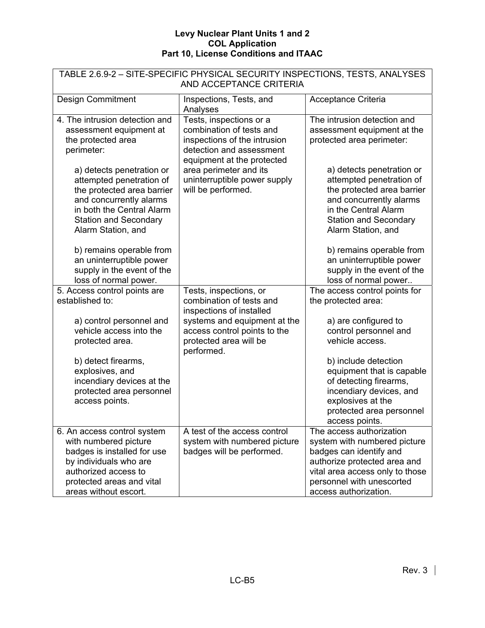| TABLE 2.6.9-2 - SITE-SPECIFIC PHYSICAL SECURITY INSPECTIONS, TESTS, ANALYSES |                                      |                                 |  |  |
|------------------------------------------------------------------------------|--------------------------------------|---------------------------------|--|--|
| AND ACCEPTANCE CRITERIA                                                      |                                      |                                 |  |  |
| <b>Design Commitment</b>                                                     | Inspections, Tests, and              | Acceptance Criteria             |  |  |
|                                                                              | Analyses                             |                                 |  |  |
| 4. The intrusion detection and                                               | Tests, inspections or a              | The intrusion detection and     |  |  |
| assessment equipment at                                                      | combination of tests and             | assessment equipment at the     |  |  |
| the protected area                                                           | inspections of the intrusion         | protected area perimeter:       |  |  |
| perimeter:                                                                   | detection and assessment             |                                 |  |  |
|                                                                              | equipment at the protected           |                                 |  |  |
| a) detects penetration or                                                    | area perimeter and its               | a) detects penetration or       |  |  |
| attempted penetration of                                                     | uninterruptible power supply         | attempted penetration of        |  |  |
| the protected area barrier                                                   | will be performed.                   | the protected area barrier      |  |  |
| and concurrently alarms                                                      |                                      | and concurrently alarms         |  |  |
| in both the Central Alarm                                                    |                                      | in the Central Alarm            |  |  |
| <b>Station and Secondary</b>                                                 |                                      | <b>Station and Secondary</b>    |  |  |
| Alarm Station, and                                                           |                                      | Alarm Station, and              |  |  |
| b) remains operable from                                                     |                                      | b) remains operable from        |  |  |
| an uninterruptible power                                                     |                                      | an uninterruptible power        |  |  |
| supply in the event of the                                                   |                                      | supply in the event of the      |  |  |
| loss of normal power.                                                        |                                      | loss of normal power            |  |  |
| 5. Access control points are                                                 | Tests, inspections, or               | The access control points for   |  |  |
| established to:                                                              | combination of tests and             | the protected area:             |  |  |
|                                                                              | inspections of installed             |                                 |  |  |
| a) control personnel and                                                     | systems and equipment at the         | a) are configured to            |  |  |
| vehicle access into the                                                      | access control points to the         | control personnel and           |  |  |
| protected area.                                                              | protected area will be<br>performed. | vehicle access.                 |  |  |
| b) detect firearms,                                                          |                                      | b) include detection            |  |  |
| explosives, and                                                              |                                      | equipment that is capable       |  |  |
| incendiary devices at the                                                    |                                      | of detecting firearms,          |  |  |
| protected area personnel                                                     |                                      | incendiary devices, and         |  |  |
| access points.                                                               |                                      | explosives at the               |  |  |
|                                                                              |                                      | protected area personnel        |  |  |
|                                                                              |                                      | access points.                  |  |  |
| 6. An access control system                                                  | A test of the access control         | The access authorization        |  |  |
| with numbered picture                                                        | system with numbered picture         | system with numbered picture    |  |  |
| badges is installed for use                                                  | badges will be performed.            | badges can identify and         |  |  |
| by individuals who are                                                       |                                      | authorize protected area and    |  |  |
| authorized access to                                                         |                                      | vital area access only to those |  |  |
| protected areas and vital                                                    |                                      | personnel with unescorted       |  |  |
| areas without escort.                                                        |                                      | access authorization.           |  |  |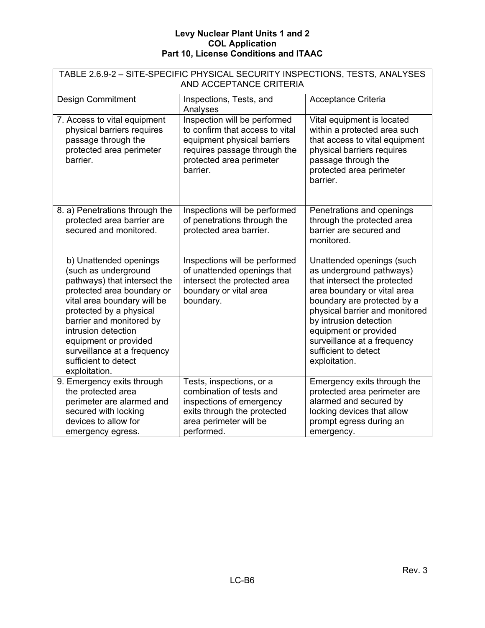| TABLE 2.6.9-2 - SITE-SPECIFIC PHYSICAL SECURITY INSPECTIONS, TESTS, ANALYSES<br>AND ACCEPTANCE CRITERIA                                                                                                                                                                                                                    |                                                                                                                                                                        |                                                                                                                                                                                                                                                                                                                  |  |
|----------------------------------------------------------------------------------------------------------------------------------------------------------------------------------------------------------------------------------------------------------------------------------------------------------------------------|------------------------------------------------------------------------------------------------------------------------------------------------------------------------|------------------------------------------------------------------------------------------------------------------------------------------------------------------------------------------------------------------------------------------------------------------------------------------------------------------|--|
| <b>Design Commitment</b>                                                                                                                                                                                                                                                                                                   | Inspections, Tests, and<br>Analyses                                                                                                                                    | Acceptance Criteria                                                                                                                                                                                                                                                                                              |  |
| 7. Access to vital equipment<br>physical barriers requires<br>passage through the<br>protected area perimeter<br>barrier.                                                                                                                                                                                                  | Inspection will be performed<br>to confirm that access to vital<br>equipment physical barriers<br>requires passage through the<br>protected area perimeter<br>barrier. | Vital equipment is located<br>within a protected area such<br>that access to vital equipment<br>physical barriers requires<br>passage through the<br>protected area perimeter<br>barrier.                                                                                                                        |  |
| 8. a) Penetrations through the<br>protected area barrier are<br>secured and monitored.                                                                                                                                                                                                                                     | Inspections will be performed<br>of penetrations through the<br>protected area barrier.                                                                                | Penetrations and openings<br>through the protected area<br>barrier are secured and<br>monitored.                                                                                                                                                                                                                 |  |
| b) Unattended openings<br>(such as underground<br>pathways) that intersect the<br>protected area boundary or<br>vital area boundary will be<br>protected by a physical<br>barrier and monitored by<br>intrusion detection<br>equipment or provided<br>surveillance at a frequency<br>sufficient to detect<br>exploitation. | Inspections will be performed<br>of unattended openings that<br>intersect the protected area<br>boundary or vital area<br>boundary.                                    | Unattended openings (such<br>as underground pathways)<br>that intersect the protected<br>area boundary or vital area<br>boundary are protected by a<br>physical barrier and monitored<br>by intrusion detection<br>equipment or provided<br>surveillance at a frequency<br>sufficient to detect<br>exploitation. |  |
| 9. Emergency exits through<br>the protected area<br>perimeter are alarmed and<br>secured with locking<br>devices to allow for<br>emergency egress.                                                                                                                                                                         | Tests, inspections, or a<br>combination of tests and<br>inspections of emergency<br>exits through the protected<br>area perimeter will be<br>performed.                | Emergency exits through the<br>protected area perimeter are<br>alarmed and secured by<br>locking devices that allow<br>prompt egress during an<br>emergency.                                                                                                                                                     |  |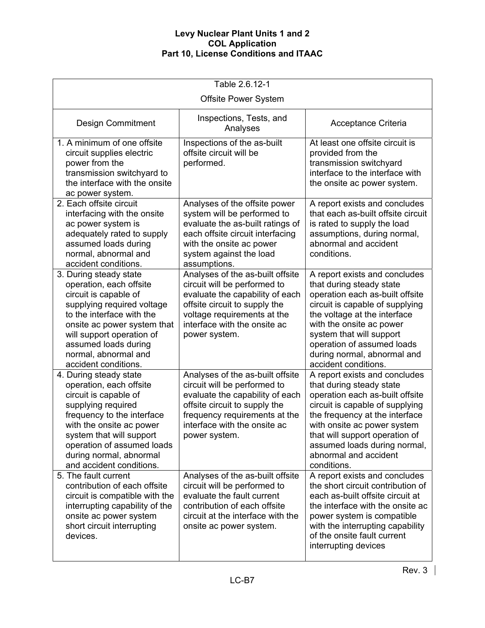| Table 2.6.12-1                                                                                                                                                                                                                                                              |                                                                                                                                                                                                                        |                                                                                                                                                                                                                                                                                                              |  |  |
|-----------------------------------------------------------------------------------------------------------------------------------------------------------------------------------------------------------------------------------------------------------------------------|------------------------------------------------------------------------------------------------------------------------------------------------------------------------------------------------------------------------|--------------------------------------------------------------------------------------------------------------------------------------------------------------------------------------------------------------------------------------------------------------------------------------------------------------|--|--|
| <b>Offsite Power System</b>                                                                                                                                                                                                                                                 |                                                                                                                                                                                                                        |                                                                                                                                                                                                                                                                                                              |  |  |
| <b>Design Commitment</b>                                                                                                                                                                                                                                                    | Inspections, Tests, and<br>Analyses                                                                                                                                                                                    | Acceptance Criteria                                                                                                                                                                                                                                                                                          |  |  |
| 1. A minimum of one offsite<br>circuit supplies electric<br>power from the<br>transmission switchyard to<br>the interface with the onsite<br>ac power system.                                                                                                               | Inspections of the as-built<br>offsite circuit will be<br>performed.                                                                                                                                                   | At least one offsite circuit is<br>provided from the<br>transmission switchyard<br>interface to the interface with<br>the onsite ac power system.                                                                                                                                                            |  |  |
| 2. Each offsite circuit<br>interfacing with the onsite<br>ac power system is<br>adequately rated to supply<br>assumed loads during<br>normal, abnormal and<br>accident conditions.                                                                                          | Analyses of the offsite power<br>system will be performed to<br>evaluate the as-built ratings of<br>each offsite circuit interfacing<br>with the onsite ac power<br>system against the load<br>assumptions.            | A report exists and concludes<br>that each as-built offsite circuit<br>is rated to supply the load<br>assumptions, during normal,<br>abnormal and accident<br>conditions.                                                                                                                                    |  |  |
| 3. During steady state<br>operation, each offsite<br>circuit is capable of<br>supplying required voltage<br>to the interface with the<br>onsite ac power system that<br>will support operation of<br>assumed loads during<br>normal, abnormal and<br>accident conditions.   | Analyses of the as-built offsite<br>circuit will be performed to<br>evaluate the capability of each<br>offsite circuit to supply the<br>voltage requirements at the<br>interface with the onsite ac<br>power system.   | A report exists and concludes<br>that during steady state<br>operation each as-built offsite<br>circuit is capable of supplying<br>the voltage at the interface<br>with the onsite ac power<br>system that will support<br>operation of assumed loads<br>during normal, abnormal and<br>accident conditions. |  |  |
| 4. During steady state<br>operation, each offsite<br>circuit is capable of<br>supplying required<br>frequency to the interface<br>with the onsite ac power<br>system that will support<br>operation of assumed loads<br>during normal, abnormal<br>and accident conditions. | Analyses of the as-built offsite<br>circuit will be performed to<br>evaluate the capability of each<br>offsite circuit to supply the<br>frequency requirements at the<br>interface with the onsite ac<br>power system. | A report exists and concludes<br>that during steady state<br>operation each as-built offsite<br>circuit is capable of supplying<br>the frequency at the interface<br>with onsite ac power system<br>that will support operation of<br>assumed loads during normal,<br>abnormal and accident<br>conditions.   |  |  |
| 5. The fault current<br>contribution of each offsite<br>circuit is compatible with the<br>interrupting capability of the<br>onsite ac power system<br>short circuit interrupting<br>devices.                                                                                | Analyses of the as-built offsite<br>circuit will be performed to<br>evaluate the fault current<br>contribution of each offsite<br>circuit at the interface with the<br>onsite ac power system.                         | A report exists and concludes<br>the short circuit contribution of<br>each as-built offsite circuit at<br>the interface with the onsite ac<br>power system is compatible<br>with the interrupting capability<br>of the onsite fault current<br>interrupting devices                                          |  |  |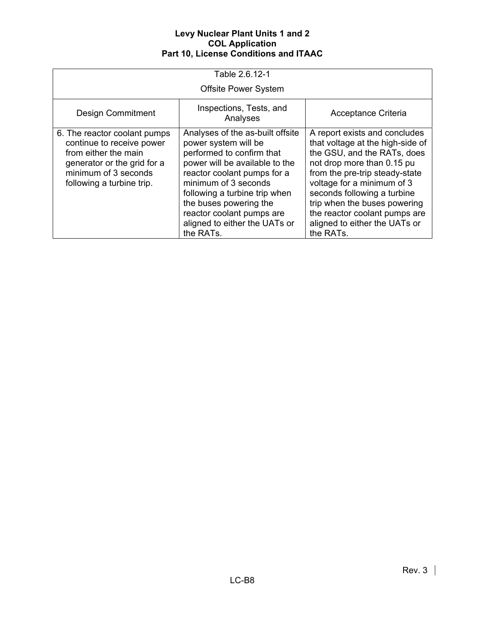| Table 2.6.12-1                                                                                                                                                        |                                                                                                                                                                                                                                                                                                                      |                                                                                                                                                                                                                                                                                                                                              |  |
|-----------------------------------------------------------------------------------------------------------------------------------------------------------------------|----------------------------------------------------------------------------------------------------------------------------------------------------------------------------------------------------------------------------------------------------------------------------------------------------------------------|----------------------------------------------------------------------------------------------------------------------------------------------------------------------------------------------------------------------------------------------------------------------------------------------------------------------------------------------|--|
|                                                                                                                                                                       | <b>Offsite Power System</b>                                                                                                                                                                                                                                                                                          |                                                                                                                                                                                                                                                                                                                                              |  |
| <b>Design Commitment</b>                                                                                                                                              | Inspections, Tests, and<br>Analyses                                                                                                                                                                                                                                                                                  | Acceptance Criteria                                                                                                                                                                                                                                                                                                                          |  |
| 6. The reactor coolant pumps<br>continue to receive power<br>from either the main<br>generator or the grid for a<br>minimum of 3 seconds<br>following a turbine trip. | Analyses of the as-built offsite<br>power system will be<br>performed to confirm that<br>power will be available to the<br>reactor coolant pumps for a<br>minimum of 3 seconds<br>following a turbine trip when<br>the buses powering the<br>reactor coolant pumps are<br>aligned to either the UATs or<br>the RATs. | A report exists and concludes<br>that voltage at the high-side of<br>the GSU, and the RATs, does<br>not drop more than 0.15 pu<br>from the pre-trip steady-state<br>voltage for a minimum of 3<br>seconds following a turbine<br>trip when the buses powering<br>the reactor coolant pumps are<br>aligned to either the UATs or<br>the RATs. |  |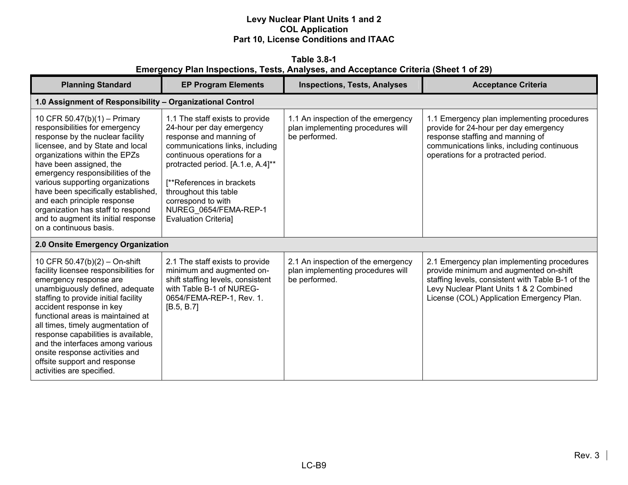**Table 3.8-1 Emergency Plan Inspections, Tests, Analyses, and Acceptance Criteria (Sheet 1 of 29)** 

| <b>Planning Standard</b>                                                                                                                                                                                                                                                                                                                                                                                                                                     | <b>EP Program Elements</b>                                                                                                                                                                                                                                                                                                          | <b>Inspections, Tests, Analyses</b>                                                      | <b>Acceptance Criteria</b>                                                                                                                                                                                                        |
|--------------------------------------------------------------------------------------------------------------------------------------------------------------------------------------------------------------------------------------------------------------------------------------------------------------------------------------------------------------------------------------------------------------------------------------------------------------|-------------------------------------------------------------------------------------------------------------------------------------------------------------------------------------------------------------------------------------------------------------------------------------------------------------------------------------|------------------------------------------------------------------------------------------|-----------------------------------------------------------------------------------------------------------------------------------------------------------------------------------------------------------------------------------|
| 1.0 Assignment of Responsibility - Organizational Control                                                                                                                                                                                                                                                                                                                                                                                                    |                                                                                                                                                                                                                                                                                                                                     |                                                                                          |                                                                                                                                                                                                                                   |
| 10 CFR 50.47(b)(1) - Primary<br>responsibilities for emergency<br>response by the nuclear facility<br>licensee, and by State and local<br>organizations within the EPZs<br>have been assigned, the<br>emergency responsibilities of the<br>various supporting organizations<br>have been specifically established,<br>and each principle response<br>organization has staff to respond<br>and to augment its initial response<br>on a continuous basis.      | 1.1 The staff exists to provide<br>24-hour per day emergency<br>response and manning of<br>communications links, including<br>continuous operations for a<br>protracted period. [A.1.e, A.4]**<br>[**References in brackets]<br>throughout this table<br>correspond to with<br>NUREG 0654/FEMA-REP-1<br><b>Evaluation Criterial</b> | 1.1 An inspection of the emergency<br>plan implementing procedures will<br>be performed. | 1.1 Emergency plan implementing procedures<br>provide for 24-hour per day emergency<br>response staffing and manning of<br>communications links, including continuous<br>operations for a protracted period.                      |
| 2.0 Onsite Emergency Organization                                                                                                                                                                                                                                                                                                                                                                                                                            |                                                                                                                                                                                                                                                                                                                                     |                                                                                          |                                                                                                                                                                                                                                   |
| 10 CFR 50.47(b)(2) - On-shift<br>facility licensee responsibilities for<br>emergency response are<br>unambiguously defined, adequate<br>staffing to provide initial facility<br>accident response in key<br>functional areas is maintained at<br>all times, timely augmentation of<br>response capabilities is available,<br>and the interfaces among various<br>onsite response activities and<br>offsite support and response<br>activities are specified. | 2.1 The staff exists to provide<br>minimum and augmented on-<br>shift staffing levels, consistent<br>with Table B-1 of NUREG-<br>0654/FEMA-REP-1, Rev. 1.<br>[B.5, B.7]                                                                                                                                                             | 2.1 An inspection of the emergency<br>plan implementing procedures will<br>be performed. | 2.1 Emergency plan implementing procedures<br>provide minimum and augmented on-shift<br>staffing levels, consistent with Table B-1 of the<br>Levy Nuclear Plant Units 1 & 2 Combined<br>License (COL) Application Emergency Plan. |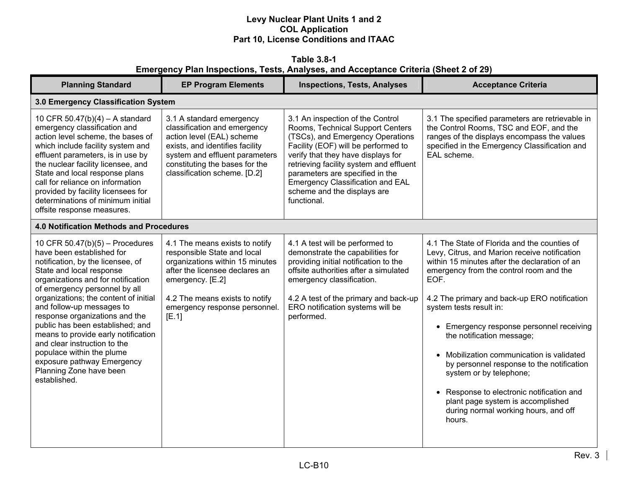**Table 3.8-1 Emergency Plan Inspections, Tests, Analyses, and Acceptance Criteria (Sheet 2 of 29)** 

| <b>Planning Standard</b>                                                                                                                                                                                                                                                                                                                                                                                                                                                                                                        | <b>EP Program Elements</b>                                                                                                                                                                                                         | <b>Inspections, Tests, Analyses</b>                                                                                                                                                                                                                                                                                                                   | <b>Acceptance Criteria</b>                                                                                                                                                                                                                                                                                                                                                                                                                                                                                                                                                                                     |
|---------------------------------------------------------------------------------------------------------------------------------------------------------------------------------------------------------------------------------------------------------------------------------------------------------------------------------------------------------------------------------------------------------------------------------------------------------------------------------------------------------------------------------|------------------------------------------------------------------------------------------------------------------------------------------------------------------------------------------------------------------------------------|-------------------------------------------------------------------------------------------------------------------------------------------------------------------------------------------------------------------------------------------------------------------------------------------------------------------------------------------------------|----------------------------------------------------------------------------------------------------------------------------------------------------------------------------------------------------------------------------------------------------------------------------------------------------------------------------------------------------------------------------------------------------------------------------------------------------------------------------------------------------------------------------------------------------------------------------------------------------------------|
| 3.0 Emergency Classification System                                                                                                                                                                                                                                                                                                                                                                                                                                                                                             |                                                                                                                                                                                                                                    |                                                                                                                                                                                                                                                                                                                                                       |                                                                                                                                                                                                                                                                                                                                                                                                                                                                                                                                                                                                                |
| 10 CFR $50.47(b)(4) - A$ standard<br>emergency classification and<br>action level scheme, the bases of<br>which include facility system and<br>effluent parameters, is in use by<br>the nuclear facility licensee, and<br>State and local response plans<br>call for reliance on information<br>provided by facility licensees for<br>determinations of minimum initial<br>offsite response measures.                                                                                                                           | 3.1 A standard emergency<br>classification and emergency<br>action level (EAL) scheme<br>exists, and identifies facility<br>system and effluent parameters<br>constituting the bases for the<br>classification scheme. [D.2]       | 3.1 An inspection of the Control<br>Rooms, Technical Support Centers<br>(TSCs), and Emergency Operations<br>Facility (EOF) will be performed to<br>verify that they have displays for<br>retrieving facility system and effluent<br>parameters are specified in the<br>Emergency Classification and EAL<br>scheme and the displays are<br>functional. | 3.1 The specified parameters are retrievable in<br>the Control Rooms, TSC and EOF, and the<br>ranges of the displays encompass the values<br>specified in the Emergency Classification and<br>EAL scheme.                                                                                                                                                                                                                                                                                                                                                                                                      |
| <b>4.0 Notification Methods and Procedures</b>                                                                                                                                                                                                                                                                                                                                                                                                                                                                                  |                                                                                                                                                                                                                                    |                                                                                                                                                                                                                                                                                                                                                       |                                                                                                                                                                                                                                                                                                                                                                                                                                                                                                                                                                                                                |
| 10 CFR $50.47(b)(5)$ – Procedures<br>have been established for<br>notification, by the licensee, of<br>State and local response<br>organizations and for notification<br>of emergency personnel by all<br>organizations; the content of initial<br>and follow-up messages to<br>response organizations and the<br>public has been established; and<br>means to provide early notification<br>and clear instruction to the<br>populace within the plume<br>exposure pathway Emergency<br>Planning Zone have been<br>established. | 4.1 The means exists to notify<br>responsible State and local<br>organizations within 15 minutes<br>after the licensee declares an<br>emergency. [E.2]<br>4.2 The means exists to notify<br>emergency response personnel.<br>[E.1] | 4.1 A test will be performed to<br>demonstrate the capabilities for<br>providing initial notification to the<br>offsite authorities after a simulated<br>emergency classification.<br>4.2 A test of the primary and back-up<br>ERO notification systems will be<br>performed.                                                                         | 4.1 The State of Florida and the counties of<br>Levy, Citrus, and Marion receive notification<br>within 15 minutes after the declaration of an<br>emergency from the control room and the<br>EOF.<br>4.2 The primary and back-up ERO notification<br>system tests result in:<br>• Emergency response personnel receiving<br>the notification message;<br>• Mobilization communication is validated<br>by personnel response to the notification<br>system or by telephone;<br>• Response to electronic notification and<br>plant page system is accomplished<br>during normal working hours, and off<br>hours. |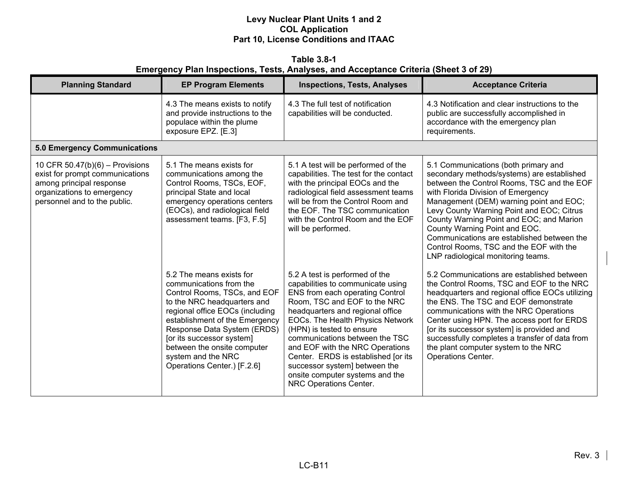**Table 3.8-1 Emergency Plan Inspections, Tests, Analyses, and Acceptance Criteria (Sheet 3 of 29)** 

| <b>Planning Standard</b>                                                                                                                                       | <b>EP Program Elements</b>                                                                                                                                                                                                                                                                                                              | <b>Inspections, Tests, Analyses</b>                                                                                                                                                                                                                                                                                                                                                                                                                   | <b>Acceptance Criteria</b>                                                                                                                                                                                                                                                                                                                                                                                                                                                 |
|----------------------------------------------------------------------------------------------------------------------------------------------------------------|-----------------------------------------------------------------------------------------------------------------------------------------------------------------------------------------------------------------------------------------------------------------------------------------------------------------------------------------|-------------------------------------------------------------------------------------------------------------------------------------------------------------------------------------------------------------------------------------------------------------------------------------------------------------------------------------------------------------------------------------------------------------------------------------------------------|----------------------------------------------------------------------------------------------------------------------------------------------------------------------------------------------------------------------------------------------------------------------------------------------------------------------------------------------------------------------------------------------------------------------------------------------------------------------------|
|                                                                                                                                                                | 4.3 The means exists to notify<br>and provide instructions to the<br>populace within the plume<br>exposure EPZ. [E.3]                                                                                                                                                                                                                   | 4.3 The full test of notification<br>capabilities will be conducted.                                                                                                                                                                                                                                                                                                                                                                                  | 4.3 Notification and clear instructions to the<br>public are successfully accomplished in<br>accordance with the emergency plan<br>requirements.                                                                                                                                                                                                                                                                                                                           |
| <b>5.0 Emergency Communications</b>                                                                                                                            |                                                                                                                                                                                                                                                                                                                                         |                                                                                                                                                                                                                                                                                                                                                                                                                                                       |                                                                                                                                                                                                                                                                                                                                                                                                                                                                            |
| 10 CFR $50.47(b)(6)$ – Provisions<br>exist for prompt communications<br>among principal response<br>organizations to emergency<br>personnel and to the public. | 5.1 The means exists for<br>communications among the<br>Control Rooms, TSCs, EOF,<br>principal State and local<br>emergency operations centers<br>(EOCs), and radiological field<br>assessment teams. [F3, F.5]                                                                                                                         | 5.1 A test will be performed of the<br>capabilities. The test for the contact<br>with the principal EOCs and the<br>radiological field assessment teams<br>will be from the Control Room and<br>the EOF. The TSC communication<br>with the Control Room and the EOF<br>will be performed.                                                                                                                                                             | 5.1 Communications (both primary and<br>secondary methods/systems) are established<br>between the Control Rooms, TSC and the EOF<br>with Florida Division of Emergency<br>Management (DEM) warning point and EOC;<br>Levy County Warning Point and EOC; Citrus<br>County Warning Point and EOC; and Marion<br>County Warning Point and EOC.<br>Communications are established between the<br>Control Rooms, TSC and the EOF with the<br>LNP radiological monitoring teams. |
|                                                                                                                                                                | 5.2 The means exists for<br>communications from the<br>Control Rooms, TSCs, and EOF<br>to the NRC headquarters and<br>regional office EOCs (including<br>establishment of the Emergency<br>Response Data System (ERDS)<br>[or its successor system]<br>between the onsite computer<br>system and the NRC<br>Operations Center.) [F.2.6] | 5.2 A test is performed of the<br>capabilities to communicate using<br>ENS from each operating Control<br>Room, TSC and EOF to the NRC<br>headquarters and regional office<br>EOCs. The Health Physics Network<br>(HPN) is tested to ensure<br>communications between the TSC<br>and EOF with the NRC Operations<br>Center. ERDS is established [or its<br>successor system] between the<br>onsite computer systems and the<br>NRC Operations Center. | 5.2 Communications are established between<br>the Control Rooms, TSC and EOF to the NRC<br>headquarters and regional office EOCs utilizing<br>the ENS. The TSC and EOF demonstrate<br>communications with the NRC Operations<br>Center using HPN. The access port for ERDS<br>[or its successor system] is provided and<br>successfully completes a transfer of data from<br>the plant computer system to the NRC<br><b>Operations Center.</b>                             |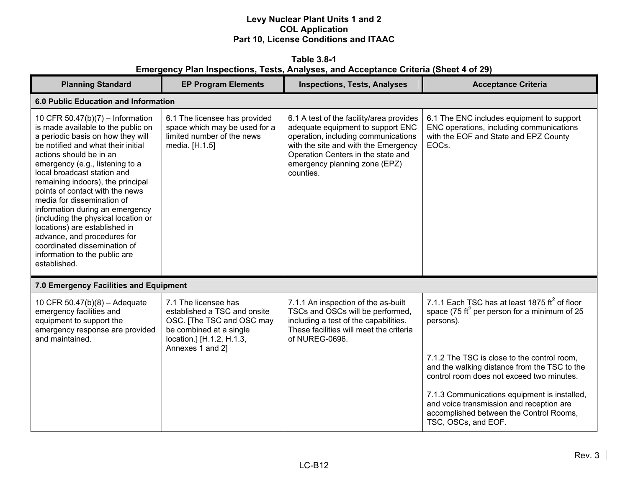**Table 3.8-1 Emergency Plan Inspections, Tests, Analyses, and Acceptance Criteria (Sheet 4 of 29)** 

| <b>Planning Standard</b>                                                                                                                                                                                                                                                                                                                                                                                                                                                                                                                                                        | <b>EP Program Elements</b>                                                                                                                                    | <b>Inspections, Tests, Analyses</b>                                                                                                                                                                                                              | <b>Acceptance Criteria</b>                                                                                                                                 |
|---------------------------------------------------------------------------------------------------------------------------------------------------------------------------------------------------------------------------------------------------------------------------------------------------------------------------------------------------------------------------------------------------------------------------------------------------------------------------------------------------------------------------------------------------------------------------------|---------------------------------------------------------------------------------------------------------------------------------------------------------------|--------------------------------------------------------------------------------------------------------------------------------------------------------------------------------------------------------------------------------------------------|------------------------------------------------------------------------------------------------------------------------------------------------------------|
| 6.0 Public Education and Information                                                                                                                                                                                                                                                                                                                                                                                                                                                                                                                                            |                                                                                                                                                               |                                                                                                                                                                                                                                                  |                                                                                                                                                            |
| 10 CFR 50.47(b)(7) - Information<br>is made available to the public on<br>a periodic basis on how they will<br>be notified and what their initial<br>actions should be in an<br>emergency (e.g., listening to a<br>local broadcast station and<br>remaining indoors), the principal<br>points of contact with the news<br>media for dissemination of<br>information during an emergency<br>(including the physical location or<br>locations) are established in<br>advance, and procedures for<br>coordinated dissemination of<br>information to the public are<br>established. | 6.1 The licensee has provided<br>space which may be used for a<br>limited number of the news<br>media. [H.1.5]                                                | 6.1 A test of the facility/area provides<br>adequate equipment to support ENC<br>operation, including communications<br>with the site and with the Emergency<br>Operation Centers in the state and<br>emergency planning zone (EPZ)<br>counties. | 6.1 The ENC includes equipment to support<br>ENC operations, including communications<br>with the EOF and State and EPZ County<br>EOC <sub>s</sub> .       |
| 7.0 Emergency Facilities and Equipment                                                                                                                                                                                                                                                                                                                                                                                                                                                                                                                                          |                                                                                                                                                               |                                                                                                                                                                                                                                                  |                                                                                                                                                            |
| 10 CFR 50.47(b)(8) - Adequate<br>emergency facilities and<br>equipment to support the<br>emergency response are provided<br>and maintained.                                                                                                                                                                                                                                                                                                                                                                                                                                     | 7.1 The licensee has<br>established a TSC and onsite<br>OSC. [The TSC and OSC may<br>be combined at a single<br>location.] [H.1.2, H.1.3,<br>Annexes 1 and 2] | 7.1.1 An inspection of the as-built<br>TSCs and OSCs will be performed,<br>including a test of the capabilities.<br>These facilities will meet the criteria<br>of NUREG-0696.                                                                    | 7.1.1 Each TSC has at least 1875 $\text{ft}^2$ of floor<br>space (75 ft <sup>2</sup> per person for a minimum of 25<br>persons).                           |
|                                                                                                                                                                                                                                                                                                                                                                                                                                                                                                                                                                                 |                                                                                                                                                               |                                                                                                                                                                                                                                                  | 7.1.2 The TSC is close to the control room,<br>and the walking distance from the TSC to the<br>control room does not exceed two minutes.                   |
|                                                                                                                                                                                                                                                                                                                                                                                                                                                                                                                                                                                 |                                                                                                                                                               |                                                                                                                                                                                                                                                  | 7.1.3 Communications equipment is installed,<br>and voice transmission and reception are<br>accomplished between the Control Rooms,<br>TSC, OSCs, and EOF. |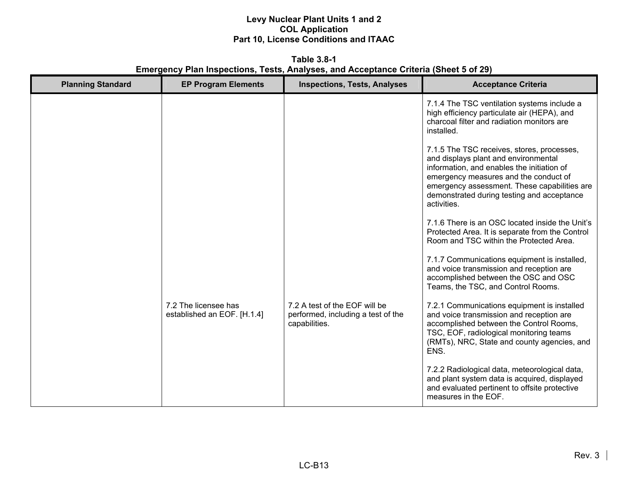**Table 3.8-1 Emergency Plan Inspections, Tests, Analyses, and Acceptance Criteria (Sheet 5 of 29)** 

| <b>Planning Standard</b> | <b>EP Program Elements</b>                          | <b>Inspections, Tests, Analyses</b>                                                  | <b>Acceptance Criteria</b>                                                                                                                                                                                                                                                             |
|--------------------------|-----------------------------------------------------|--------------------------------------------------------------------------------------|----------------------------------------------------------------------------------------------------------------------------------------------------------------------------------------------------------------------------------------------------------------------------------------|
|                          |                                                     |                                                                                      | 7.1.4 The TSC ventilation systems include a<br>high efficiency particulate air (HEPA), and<br>charcoal filter and radiation monitors are<br>installed.                                                                                                                                 |
|                          |                                                     |                                                                                      | 7.1.5 The TSC receives, stores, processes,<br>and displays plant and environmental<br>information, and enables the initiation of<br>emergency measures and the conduct of<br>emergency assessment. These capabilities are<br>demonstrated during testing and acceptance<br>activities. |
|                          |                                                     |                                                                                      | 7.1.6 There is an OSC located inside the Unit's<br>Protected Area. It is separate from the Control<br>Room and TSC within the Protected Area.                                                                                                                                          |
|                          |                                                     |                                                                                      | 7.1.7 Communications equipment is installed,<br>and voice transmission and reception are<br>accomplished between the OSC and OSC<br>Teams, the TSC, and Control Rooms.                                                                                                                 |
|                          | 7.2 The licensee has<br>established an EOF. [H.1.4] | 7.2 A test of the EOF will be<br>performed, including a test of the<br>capabilities. | 7.2.1 Communications equipment is installed<br>and voice transmission and reception are<br>accomplished between the Control Rooms,<br>TSC, EOF, radiological monitoring teams<br>(RMTs), NRC, State and county agencies, and<br>ENS.                                                   |
|                          |                                                     |                                                                                      | 7.2.2 Radiological data, meteorological data,<br>and plant system data is acquired, displayed<br>and evaluated pertinent to offsite protective<br>measures in the EOF.                                                                                                                 |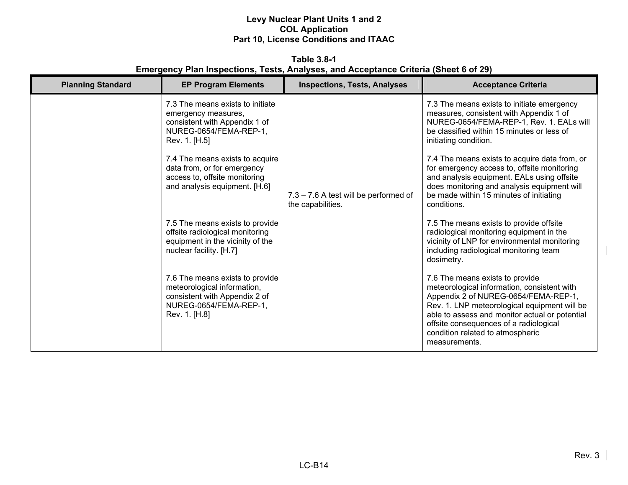**Table 3.8-1 Emergency Plan Inspections, Tests, Analyses, and Acceptance Criteria (Sheet 6 of 29)** 

| <b>Planning Standard</b> | <b>EP Program Elements</b>                                                                                                                                                                                                                                              | <b>Inspections, Tests, Analyses</b>                        | <b>Acceptance Criteria</b>                                                                                                                                                                                                                                                                                                                                                                                                                                      |
|--------------------------|-------------------------------------------------------------------------------------------------------------------------------------------------------------------------------------------------------------------------------------------------------------------------|------------------------------------------------------------|-----------------------------------------------------------------------------------------------------------------------------------------------------------------------------------------------------------------------------------------------------------------------------------------------------------------------------------------------------------------------------------------------------------------------------------------------------------------|
|                          | 7.3 The means exists to initiate<br>emergency measures,<br>consistent with Appendix 1 of<br>NUREG-0654/FEMA-REP-1,<br>Rev. 1. [H.5]<br>7.4 The means exists to acquire<br>data from, or for emergency<br>access to, offsite monitoring<br>and analysis equipment. [H.6] | 7.3 - 7.6 A test will be performed of<br>the capabilities. | 7.3 The means exists to initiate emergency<br>measures, consistent with Appendix 1 of<br>NUREG-0654/FEMA-REP-1, Rev. 1. EALs will<br>be classified within 15 minutes or less of<br>initiating condition.<br>7.4 The means exists to acquire data from, or<br>for emergency access to, offsite monitoring<br>and analysis equipment. EALs using offsite<br>does monitoring and analysis equipment will<br>be made within 15 minutes of initiating<br>conditions. |
|                          | 7.5 The means exists to provide<br>offsite radiological monitoring<br>equipment in the vicinity of the<br>nuclear facility. [H.7]                                                                                                                                       |                                                            | 7.5 The means exists to provide offsite<br>radiological monitoring equipment in the<br>vicinity of LNP for environmental monitoring<br>including radiological monitoring team<br>dosimetry.                                                                                                                                                                                                                                                                     |
|                          | 7.6 The means exists to provide<br>meteorological information,<br>consistent with Appendix 2 of<br>NUREG-0654/FEMA-REP-1,<br>Rev. 1. [H.8]                                                                                                                              |                                                            | 7.6 The means exists to provide<br>meteorological information, consistent with<br>Appendix 2 of NUREG-0654/FEMA-REP-1,<br>Rev. 1. LNP meteorological equipment will be<br>able to assess and monitor actual or potential<br>offsite consequences of a radiological<br>condition related to atmospheric<br>measurements.                                                                                                                                         |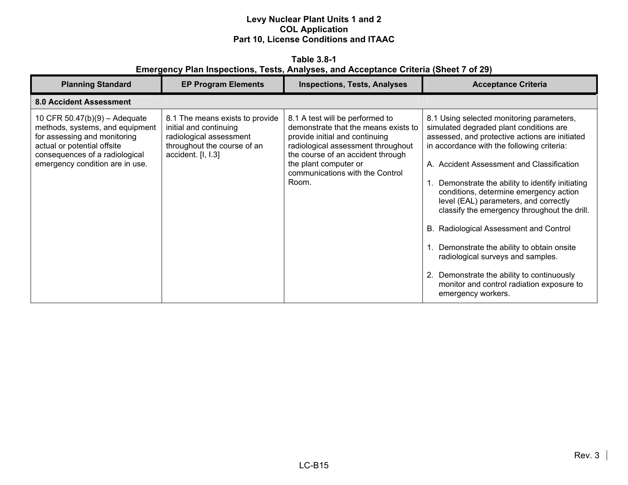**Table 3.8-1 Emergency Plan Inspections, Tests, Analyses, and Acceptance Criteria (Sheet 7 of 29)** 

| <b>Planning Standard</b>                                                                                                                                                                               | <b>EP Program Elements</b>                                                                                                                | <b>Inspections, Tests, Analyses</b>                                                                                                                                                                                                                       | <b>Acceptance Criteria</b>                                                                                                                                                                                                                                                                                                                                                                                                                                                                                                                                                                                                                                         |
|--------------------------------------------------------------------------------------------------------------------------------------------------------------------------------------------------------|-------------------------------------------------------------------------------------------------------------------------------------------|-----------------------------------------------------------------------------------------------------------------------------------------------------------------------------------------------------------------------------------------------------------|--------------------------------------------------------------------------------------------------------------------------------------------------------------------------------------------------------------------------------------------------------------------------------------------------------------------------------------------------------------------------------------------------------------------------------------------------------------------------------------------------------------------------------------------------------------------------------------------------------------------------------------------------------------------|
| <b>8.0 Accident Assessment</b>                                                                                                                                                                         |                                                                                                                                           |                                                                                                                                                                                                                                                           |                                                                                                                                                                                                                                                                                                                                                                                                                                                                                                                                                                                                                                                                    |
| 10 CFR $50.47(b)(9) -$ Adequate<br>methods, systems, and equipment<br>for assessing and monitoring<br>actual or potential offsite<br>consequences of a radiological<br>emergency condition are in use. | 8.1 The means exists to provide<br>initial and continuing<br>radiological assessment<br>throughout the course of an<br>accident. [I, I.3] | 8.1 A test will be performed to<br>demonstrate that the means exists to<br>provide initial and continuing<br>radiological assessment throughout<br>the course of an accident through<br>the plant computer or<br>communications with the Control<br>Room. | 8.1 Using selected monitoring parameters,<br>simulated degraded plant conditions are<br>assessed, and protective actions are initiated<br>in accordance with the following criteria:<br>A. Accident Assessment and Classification<br>Demonstrate the ability to identify initiating<br>conditions, determine emergency action<br>level (EAL) parameters, and correctly<br>classify the emergency throughout the drill.<br>B. Radiological Assessment and Control<br>Demonstrate the ability to obtain onsite<br>radiological surveys and samples.<br>2. Demonstrate the ability to continuously<br>monitor and control radiation exposure to<br>emergency workers. |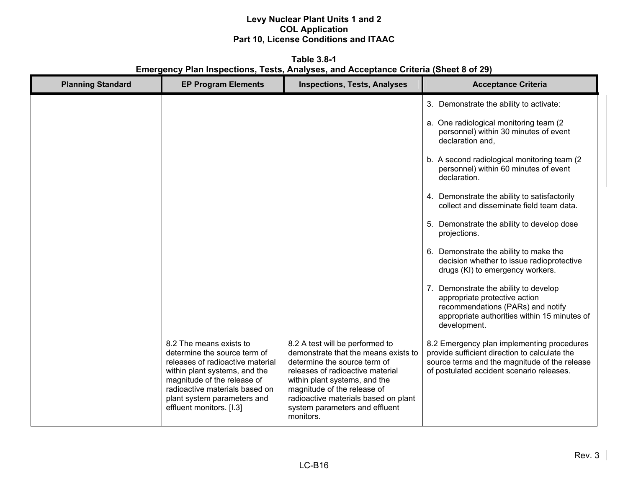**Table 3.8-1 Emergency Plan Inspections, Tests, Analyses, and Acceptance Criteria (Sheet 8 of 29)** 

| <b>Planning Standard</b> | <b>EP Program Elements</b>                                                                                                                                                                                                                               | <b>Inspections, Tests, Analyses</b>                                                                                                                                                                                                                                                                | <b>Acceptance Criteria</b>                                                                                                                                                                |
|--------------------------|----------------------------------------------------------------------------------------------------------------------------------------------------------------------------------------------------------------------------------------------------------|----------------------------------------------------------------------------------------------------------------------------------------------------------------------------------------------------------------------------------------------------------------------------------------------------|-------------------------------------------------------------------------------------------------------------------------------------------------------------------------------------------|
|                          |                                                                                                                                                                                                                                                          |                                                                                                                                                                                                                                                                                                    | 3. Demonstrate the ability to activate:                                                                                                                                                   |
|                          |                                                                                                                                                                                                                                                          |                                                                                                                                                                                                                                                                                                    | a. One radiological monitoring team (2)<br>personnel) within 30 minutes of event<br>declaration and,                                                                                      |
|                          |                                                                                                                                                                                                                                                          |                                                                                                                                                                                                                                                                                                    | b. A second radiological monitoring team (2)<br>personnel) within 60 minutes of event<br>declaration.                                                                                     |
|                          |                                                                                                                                                                                                                                                          |                                                                                                                                                                                                                                                                                                    | 4. Demonstrate the ability to satisfactorily<br>collect and disseminate field team data.                                                                                                  |
|                          |                                                                                                                                                                                                                                                          |                                                                                                                                                                                                                                                                                                    | 5. Demonstrate the ability to develop dose<br>projections.                                                                                                                                |
|                          |                                                                                                                                                                                                                                                          |                                                                                                                                                                                                                                                                                                    | 6. Demonstrate the ability to make the<br>decision whether to issue radioprotective<br>drugs (KI) to emergency workers.                                                                   |
|                          |                                                                                                                                                                                                                                                          |                                                                                                                                                                                                                                                                                                    | 7. Demonstrate the ability to develop<br>appropriate protective action<br>recommendations (PARs) and notify<br>appropriate authorities within 15 minutes of<br>development.               |
|                          | 8.2 The means exists to<br>determine the source term of<br>releases of radioactive material<br>within plant systems, and the<br>magnitude of the release of<br>radioactive materials based on<br>plant system parameters and<br>effluent monitors. [I.3] | 8.2 A test will be performed to<br>demonstrate that the means exists to<br>determine the source term of<br>releases of radioactive material<br>within plant systems, and the<br>magnitude of the release of<br>radioactive materials based on plant<br>system parameters and effluent<br>monitors. | 8.2 Emergency plan implementing procedures<br>provide sufficient direction to calculate the<br>source terms and the magnitude of the release<br>of postulated accident scenario releases. |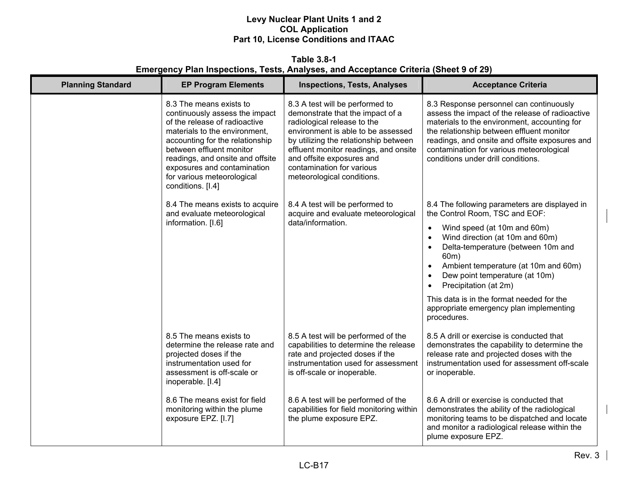**Table 3.8-1 Emergency Plan Inspections, Tests, Analyses, and Acceptance Criteria (Sheet 9 of 29)** 

| <b>Planning Standard</b> | <b>EP Program Elements</b>                                                                                                                                                                                                                                                                                       | <b>Inspections, Tests, Analyses</b>                                                                                                                                                                                                                                                                                | <b>Acceptance Criteria</b>                                                                                                                                                                                                                                                                                                  |
|--------------------------|------------------------------------------------------------------------------------------------------------------------------------------------------------------------------------------------------------------------------------------------------------------------------------------------------------------|--------------------------------------------------------------------------------------------------------------------------------------------------------------------------------------------------------------------------------------------------------------------------------------------------------------------|-----------------------------------------------------------------------------------------------------------------------------------------------------------------------------------------------------------------------------------------------------------------------------------------------------------------------------|
|                          | 8.3 The means exists to<br>continuously assess the impact<br>of the release of radioactive<br>materials to the environment,<br>accounting for the relationship<br>between effluent monitor<br>readings, and onsite and offsite<br>exposures and contamination<br>for various meteorological<br>conditions. [I.4] | 8.3 A test will be performed to<br>demonstrate that the impact of a<br>radiological release to the<br>environment is able to be assessed<br>by utilizing the relationship between<br>effluent monitor readings, and onsite<br>and offsite exposures and<br>contamination for various<br>meteorological conditions. | 8.3 Response personnel can continuously<br>assess the impact of the release of radioactive<br>materials to the environment, accounting for<br>the relationship between effluent monitor<br>readings, and onsite and offsite exposures and<br>contamination for various meteorological<br>conditions under drill conditions. |
|                          | 8.4 The means exists to acquire<br>and evaluate meteorological                                                                                                                                                                                                                                                   | 8.4 A test will be performed to<br>acquire and evaluate meteorological                                                                                                                                                                                                                                             | 8.4 The following parameters are displayed in<br>the Control Room, TSC and EOF:                                                                                                                                                                                                                                             |
|                          | information. [I.6]                                                                                                                                                                                                                                                                                               | data/information.                                                                                                                                                                                                                                                                                                  | Wind speed (at 10m and 60m)<br>$\bullet$<br>Wind direction (at 10m and 60m)<br>$\bullet$<br>Delta-temperature (between 10m and<br>$\bullet$<br>60m)<br>Ambient temperature (at 10m and 60m)<br>$\bullet$<br>Dew point temperature (at 10m)<br>$\bullet$<br>Precipitation (at 2m)<br>$\bullet$                               |
|                          |                                                                                                                                                                                                                                                                                                                  |                                                                                                                                                                                                                                                                                                                    | This data is in the format needed for the<br>appropriate emergency plan implementing<br>procedures.                                                                                                                                                                                                                         |
|                          | 8.5 The means exists to<br>determine the release rate and<br>projected doses if the<br>instrumentation used for<br>assessment is off-scale or<br>inoperable. [I.4]                                                                                                                                               | 8.5 A test will be performed of the<br>capabilities to determine the release<br>rate and projected doses if the<br>instrumentation used for assessment<br>is off-scale or inoperable.                                                                                                                              | 8.5 A drill or exercise is conducted that<br>demonstrates the capability to determine the<br>release rate and projected doses with the<br>instrumentation used for assessment off-scale<br>or inoperable.                                                                                                                   |
|                          | 8.6 The means exist for field<br>monitoring within the plume<br>exposure EPZ. [I.7]                                                                                                                                                                                                                              | 8.6 A test will be performed of the<br>capabilities for field monitoring within<br>the plume exposure EPZ.                                                                                                                                                                                                         | 8.6 A drill or exercise is conducted that<br>demonstrates the ability of the radiological<br>monitoring teams to be dispatched and locate<br>and monitor a radiological release within the<br>plume exposure EPZ.                                                                                                           |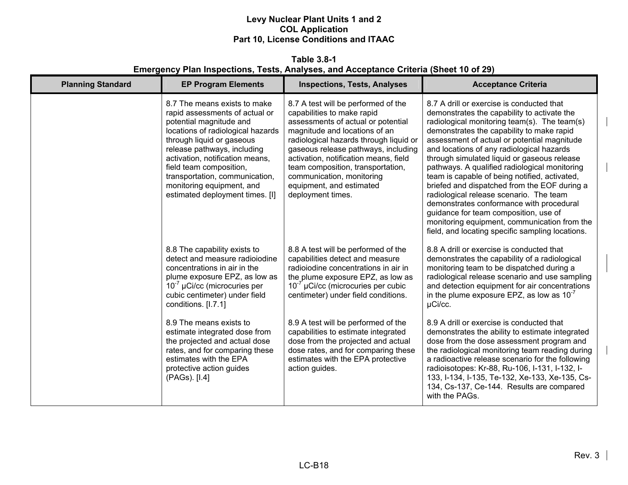**Table 3.8-1 Emergency Plan Inspections, Tests, Analyses, and Acceptance Criteria (Sheet 10 of 29)** 

| <b>Planning Standard</b> | <b>EP Program Elements</b>                                                                                                                                                                                                                                                                                                                                 | <b>Inspections, Tests, Analyses</b>                                                                                                                                                                                                                                                                                                                                                   | <b>Acceptance Criteria</b>                                                                                                                                                                                                                                                                                                                                                                                                                                                                                                                                                                                                                                                                                             |
|--------------------------|------------------------------------------------------------------------------------------------------------------------------------------------------------------------------------------------------------------------------------------------------------------------------------------------------------------------------------------------------------|---------------------------------------------------------------------------------------------------------------------------------------------------------------------------------------------------------------------------------------------------------------------------------------------------------------------------------------------------------------------------------------|------------------------------------------------------------------------------------------------------------------------------------------------------------------------------------------------------------------------------------------------------------------------------------------------------------------------------------------------------------------------------------------------------------------------------------------------------------------------------------------------------------------------------------------------------------------------------------------------------------------------------------------------------------------------------------------------------------------------|
|                          | 8.7 The means exists to make<br>rapid assessments of actual or<br>potential magnitude and<br>locations of radiological hazards<br>through liquid or gaseous<br>release pathways, including<br>activation, notification means,<br>field team composition,<br>transportation, communication,<br>monitoring equipment, and<br>estimated deployment times. [I] | 8.7 A test will be performed of the<br>capabilities to make rapid<br>assessments of actual or potential<br>magnitude and locations of an<br>radiological hazards through liquid or<br>gaseous release pathways, including<br>activation, notification means, field<br>team composition, transportation,<br>communication, monitoring<br>equipment, and estimated<br>deployment times. | 8.7 A drill or exercise is conducted that<br>demonstrates the capability to activate the<br>radiological monitoring team(s). The team(s)<br>demonstrates the capability to make rapid<br>assessment of actual or potential magnitude<br>and locations of any radiological hazards<br>through simulated liquid or gaseous release<br>pathways. A qualified radiological monitoring<br>team is capable of being notified, activated,<br>briefed and dispatched from the EOF during a<br>radiological release scenario. The team<br>demonstrates conformance with procedural<br>guidance for team composition, use of<br>monitoring equipment, communication from the<br>field, and locating specific sampling locations. |
|                          | 8.8 The capability exists to<br>detect and measure radioiodine<br>concentrations in air in the<br>plume exposure EPZ, as low as<br>$10^{-7}$ µCi/cc (microcuries per<br>cubic centimeter) under field<br>conditions. [I.7.1]                                                                                                                               | 8.8 A test will be performed of the<br>capabilities detect and measure<br>radioiodine concentrations in air in<br>the plume exposure EPZ, as low as<br>$10^{-7}$ µCi/cc (microcuries per cubic<br>centimeter) under field conditions.                                                                                                                                                 | 8.8 A drill or exercise is conducted that<br>demonstrates the capability of a radiological<br>monitoring team to be dispatched during a<br>radiological release scenario and use sampling<br>and detection equipment for air concentrations<br>in the plume exposure EPZ, as low as $10^{-7}$<br>µCi/cc.                                                                                                                                                                                                                                                                                                                                                                                                               |
|                          | 8.9 The means exists to<br>estimate integrated dose from<br>the projected and actual dose<br>rates, and for comparing these<br>estimates with the EPA<br>protective action guides<br>(PAGs). [I.4]                                                                                                                                                         | 8.9 A test will be performed of the<br>capabilities to estimate integrated<br>dose from the projected and actual<br>dose rates, and for comparing these<br>estimates with the EPA protective<br>action guides.                                                                                                                                                                        | 8.9 A drill or exercise is conducted that<br>demonstrates the ability to estimate integrated<br>dose from the dose assessment program and<br>the radiological monitoring team reading during<br>a radioactive release scenario for the following<br>radioisotopes: Kr-88, Ru-106, I-131, I-132, I-<br>133, I-134, I-135, Te-132, Xe-133, Xe-135, Cs-<br>134, Cs-137, Ce-144. Results are compared<br>with the PAGs.                                                                                                                                                                                                                                                                                                    |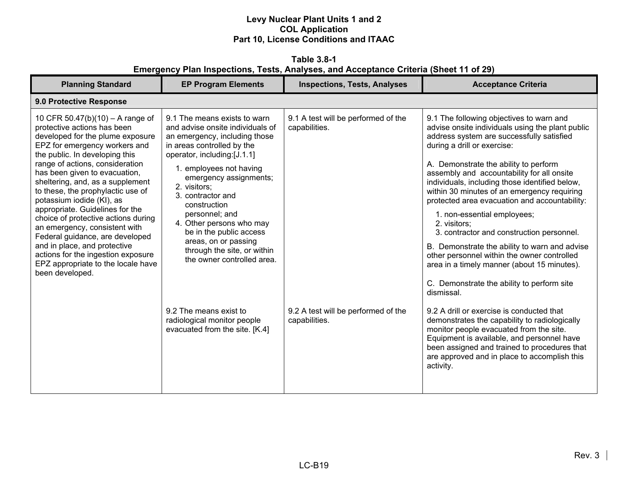**Table 3.8-1 Emergency Plan Inspections, Tests, Analyses, and Acceptance Criteria (Sheet 11 of 29)** 

| <b>Planning Standard</b>                                                                                                                                                                                                                                                                                                                                                                                                                                                                                                                                                                                                      | <b>EP Program Elements</b>                                                                                                                                                                                                                                                                                                                                                                                                                                                                                                        | <b>Inspections, Tests, Analyses</b>                                                                          | <b>Acceptance Criteria</b>                                                                                                                                                                                                                                                                                                                                                                                                                                                                                                                                                                                                                                                                                                                                                                                                                                                                                                                                                                                                   |  |  |
|-------------------------------------------------------------------------------------------------------------------------------------------------------------------------------------------------------------------------------------------------------------------------------------------------------------------------------------------------------------------------------------------------------------------------------------------------------------------------------------------------------------------------------------------------------------------------------------------------------------------------------|-----------------------------------------------------------------------------------------------------------------------------------------------------------------------------------------------------------------------------------------------------------------------------------------------------------------------------------------------------------------------------------------------------------------------------------------------------------------------------------------------------------------------------------|--------------------------------------------------------------------------------------------------------------|------------------------------------------------------------------------------------------------------------------------------------------------------------------------------------------------------------------------------------------------------------------------------------------------------------------------------------------------------------------------------------------------------------------------------------------------------------------------------------------------------------------------------------------------------------------------------------------------------------------------------------------------------------------------------------------------------------------------------------------------------------------------------------------------------------------------------------------------------------------------------------------------------------------------------------------------------------------------------------------------------------------------------|--|--|
| 9.0 Protective Response                                                                                                                                                                                                                                                                                                                                                                                                                                                                                                                                                                                                       |                                                                                                                                                                                                                                                                                                                                                                                                                                                                                                                                   |                                                                                                              |                                                                                                                                                                                                                                                                                                                                                                                                                                                                                                                                                                                                                                                                                                                                                                                                                                                                                                                                                                                                                              |  |  |
| 10 CFR 50.47(b)(10) - A range of<br>protective actions has been<br>developed for the plume exposure<br>EPZ for emergency workers and<br>the public. In developing this<br>range of actions, consideration<br>has been given to evacuation,<br>sheltering, and, as a supplement<br>to these, the prophylactic use of<br>potassium iodide (KI), as<br>appropriate. Guidelines for the<br>choice of protective actions during<br>an emergency, consistent with<br>Federal guidance, are developed<br>and in place, and protective<br>actions for the ingestion exposure<br>EPZ appropriate to the locale have<br>been developed. | 9.1 The means exists to warn<br>and advise onsite individuals of<br>an emergency, including those<br>in areas controlled by the<br>operator, including:[J.1.1]<br>1. employees not having<br>emergency assignments;<br>2. visitors;<br>3. contractor and<br>construction<br>personnel; and<br>4. Other persons who may<br>be in the public access<br>areas, on or passing<br>through the site, or within<br>the owner controlled area.<br>9.2 The means exist to<br>radiological monitor people<br>evacuated from the site. [K.4] | 9.1 A test will be performed of the<br>capabilities.<br>9.2 A test will be performed of the<br>capabilities. | 9.1 The following objectives to warn and<br>advise onsite individuals using the plant public<br>address system are successfully satisfied<br>during a drill or exercise:<br>A. Demonstrate the ability to perform<br>assembly and accountability for all onsite<br>individuals, including those identified below,<br>within 30 minutes of an emergency requiring<br>protected area evacuation and accountability:<br>1. non-essential employees;<br>2. visitors;<br>3. contractor and construction personnel.<br>B. Demonstrate the ability to warn and advise<br>other personnel within the owner controlled<br>area in a timely manner (about 15 minutes).<br>C. Demonstrate the ability to perform site<br>dismissal.<br>9.2 A drill or exercise is conducted that<br>demonstrates the capability to radiologically<br>monitor people evacuated from the site.<br>Equipment is available, and personnel have<br>been assigned and trained to procedures that<br>are approved and in place to accomplish this<br>activity. |  |  |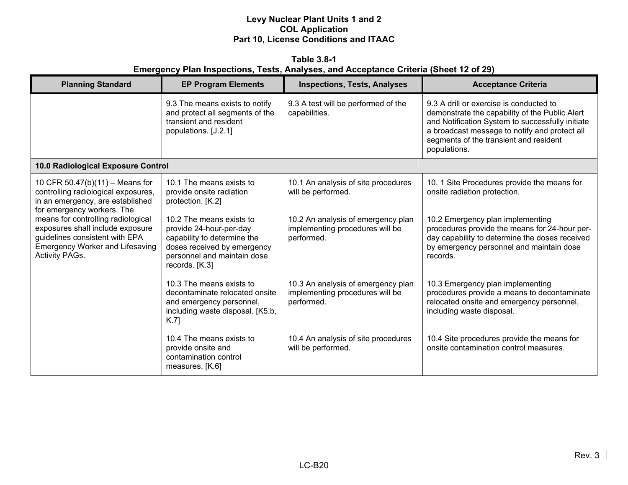**Table 3.8-1 Emergency Plan Inspections, Tests, Analyses, and Acceptance Criteria (Sheet 12 of 29)** 

| <b>Planning Standard</b>                                                                                                                                                    | <b>EP Program Elements</b>                                                                                                                                         | <b>Inspections, Tests, Analyses</b>                                                 | <b>Acceptance Criteria</b>                                                                                                                                                                                                                               |
|-----------------------------------------------------------------------------------------------------------------------------------------------------------------------------|--------------------------------------------------------------------------------------------------------------------------------------------------------------------|-------------------------------------------------------------------------------------|----------------------------------------------------------------------------------------------------------------------------------------------------------------------------------------------------------------------------------------------------------|
|                                                                                                                                                                             | 9.3 The means exists to notify<br>and protect all segments of the<br>transient and resident<br>populations. [J.2.1]                                                | 9.3 A test will be performed of the<br>capabilities.                                | 9.3 A drill or exercise is conducted to<br>demonstrate the capability of the Public Alert<br>and Notification System to successfully initiate<br>a broadcast message to notify and protect all<br>segments of the transient and resident<br>populations. |
| 10.0 Radiological Exposure Control                                                                                                                                          |                                                                                                                                                                    |                                                                                     |                                                                                                                                                                                                                                                          |
| 10 CFR 50.47(b)(11) - Means for<br>controlling radiological exposures,<br>in an emergency, are established<br>for emergency workers. The                                    | 10.1 The means exists to<br>provide onsite radiation<br>protection. [K.2]                                                                                          | 10.1 An analysis of site procedures<br>will be performed.                           | 10. 1 Site Procedures provide the means for<br>onsite radiation protection.                                                                                                                                                                              |
| means for controlling radiological<br>exposures shall include exposure<br>guidelines consistent with EPA<br><b>Emergency Worker and Lifesaving</b><br><b>Activity PAGs.</b> | 10.2 The means exists to<br>provide 24-hour-per-day<br>capability to determine the<br>doses received by emergency<br>personnel and maintain dose<br>records. [K.3] | 10.2 An analysis of emergency plan<br>implementing procedures will be<br>performed. | 10.2 Emergency plan implementing<br>procedures provide the means for 24-hour per-<br>day capability to determine the doses received<br>by emergency personnel and maintain dose<br>records.                                                              |
|                                                                                                                                                                             | 10.3 The means exists to<br>decontaminate relocated onsite<br>and emergency personnel,<br>including waste disposal. [K5.b,<br>K.7]                                 | 10.3 An analysis of emergency plan<br>implementing procedures will be<br>performed. | 10.3 Emergency plan implementing<br>procedures provide a means to decontaminate<br>relocated onsite and emergency personnel,<br>including waste disposal.                                                                                                |
|                                                                                                                                                                             | 10.4 The means exists to<br>provide onsite and<br>contamination control<br>measures. [K.6]                                                                         | 10.4 An analysis of site procedures<br>will be performed.                           | 10.4 Site procedures provide the means for<br>onsite contamination control measures.                                                                                                                                                                     |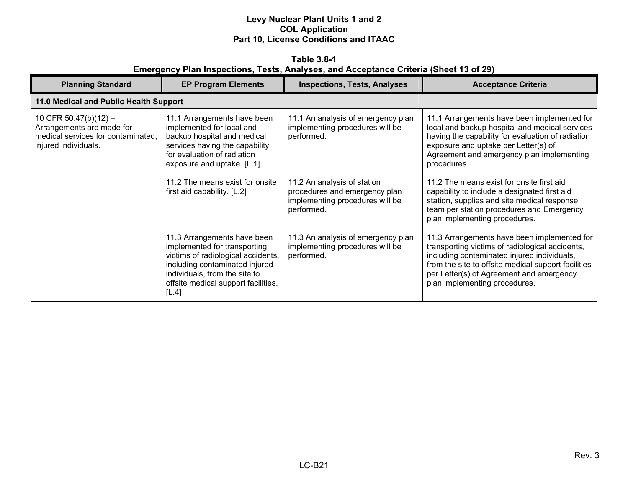**Table 3.8-1 Emergency Plan Inspections, Tests, Analyses, and Acceptance Criteria (Sheet 13 of 29)** 

| <b>Planning Standard</b>                                                                                         | <b>EP Program Elements</b>                                                                                                                                                                                           | <b>Inspections, Tests, Analyses</b>                                                                           | <b>Acceptance Criteria</b>                                                                                                                                                                                                                                                        |
|------------------------------------------------------------------------------------------------------------------|----------------------------------------------------------------------------------------------------------------------------------------------------------------------------------------------------------------------|---------------------------------------------------------------------------------------------------------------|-----------------------------------------------------------------------------------------------------------------------------------------------------------------------------------------------------------------------------------------------------------------------------------|
| 11.0 Medical and Public Health Support                                                                           |                                                                                                                                                                                                                      |                                                                                                               |                                                                                                                                                                                                                                                                                   |
| 10 CFR 50.47(b)(12) -<br>Arrangements are made for<br>medical services for contaminated.<br>injured individuals. | 11.1 Arrangements have been<br>implemented for local and<br>backup hospital and medical<br>services having the capability<br>for evaluation of radiation<br>exposure and uptake. [L.1]                               | 11.1 An analysis of emergency plan<br>implementing procedures will be<br>performed.                           | 11.1 Arrangements have been implemented for<br>local and backup hospital and medical services<br>having the capability for evaluation of radiation<br>exposure and uptake per Letter(s) of<br>Agreement and emergency plan implementing<br>procedures.                            |
|                                                                                                                  | 11.2 The means exist for onsite<br>first aid capability. [L.2]                                                                                                                                                       | 11.2 An analysis of station<br>procedures and emergency plan<br>implementing procedures will be<br>performed. | 11.2 The means exist for onsite first aid<br>capability to include a designated first aid<br>station, supplies and site medical response<br>team per station procedures and Emergency<br>plan implementing procedures.                                                            |
|                                                                                                                  | 11.3 Arrangements have been<br>implemented for transporting<br>victims of radiological accidents,<br>including contaminated injured<br>individuals, from the site to<br>offsite medical support facilities.<br>[L.4] | 11.3 An analysis of emergency plan<br>implementing procedures will be<br>performed.                           | 11.3 Arrangements have been implemented for<br>transporting victims of radiological accidents,<br>including contaminated injured individuals,<br>from the site to offsite medical support facilities<br>per Letter(s) of Agreement and emergency<br>plan implementing procedures. |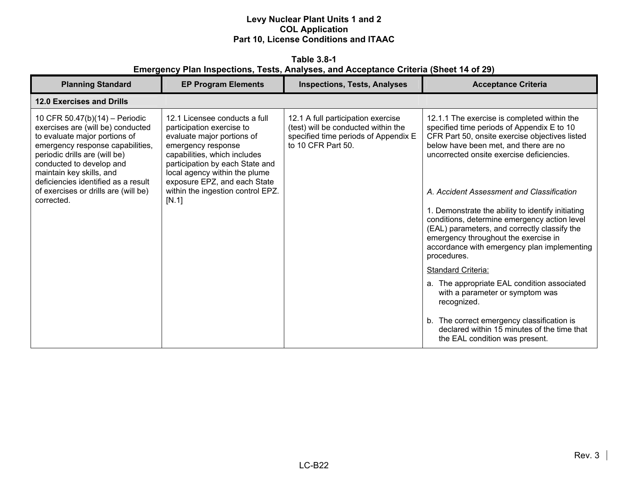**Table 3.8-1 Emergency Plan Inspections, Tests, Analyses, and Acceptance Criteria (Sheet 14 of 29)** 

| <b>Planning Standard</b>                                                                                                                                                                                                                                                                                                       | <b>EP Program Elements</b>                                                                                                                                                                                                                                                                       | <b>Inspections, Tests, Analyses</b>                                                                                                     | <b>Acceptance Criteria</b>                                                                                                                                                                                                                                                                                                                                                                                                                                                                                                                                                                                                                                                                                                                                    |
|--------------------------------------------------------------------------------------------------------------------------------------------------------------------------------------------------------------------------------------------------------------------------------------------------------------------------------|--------------------------------------------------------------------------------------------------------------------------------------------------------------------------------------------------------------------------------------------------------------------------------------------------|-----------------------------------------------------------------------------------------------------------------------------------------|---------------------------------------------------------------------------------------------------------------------------------------------------------------------------------------------------------------------------------------------------------------------------------------------------------------------------------------------------------------------------------------------------------------------------------------------------------------------------------------------------------------------------------------------------------------------------------------------------------------------------------------------------------------------------------------------------------------------------------------------------------------|
| <b>12.0 Exercises and Drills</b>                                                                                                                                                                                                                                                                                               |                                                                                                                                                                                                                                                                                                  |                                                                                                                                         |                                                                                                                                                                                                                                                                                                                                                                                                                                                                                                                                                                                                                                                                                                                                                               |
| 10 CFR 50.47(b)(14) - Periodic<br>exercises are (will be) conducted<br>to evaluate major portions of<br>emergency response capabilities,<br>periodic drills are (will be)<br>conducted to develop and<br>maintain key skills, and<br>deficiencies identified as a result<br>of exercises or drills are (will be)<br>corrected. | 12.1 Licensee conducts a full<br>participation exercise to<br>evaluate major portions of<br>emergency response<br>capabilities, which includes<br>participation by each State and<br>local agency within the plume<br>exposure EPZ, and each State<br>within the ingestion control EPZ.<br>[N.1] | 12.1 A full participation exercise<br>(test) will be conducted within the<br>specified time periods of Appendix E<br>to 10 CFR Part 50. | 12.1.1 The exercise is completed within the<br>specified time periods of Appendix E to 10<br>CFR Part 50, onsite exercise objectives listed<br>below have been met, and there are no<br>uncorrected onsite exercise deficiencies.<br>A. Accident Assessment and Classification<br>1. Demonstrate the ability to identify initiating<br>conditions, determine emergency action level<br>(EAL) parameters, and correctly classify the<br>emergency throughout the exercise in<br>accordance with emergency plan implementing<br>procedures.<br>Standard Criteria:<br>a. The appropriate EAL condition associated<br>with a parameter or symptom was<br>recognized.<br>b. The correct emergency classification is<br>declared within 15 minutes of the time that |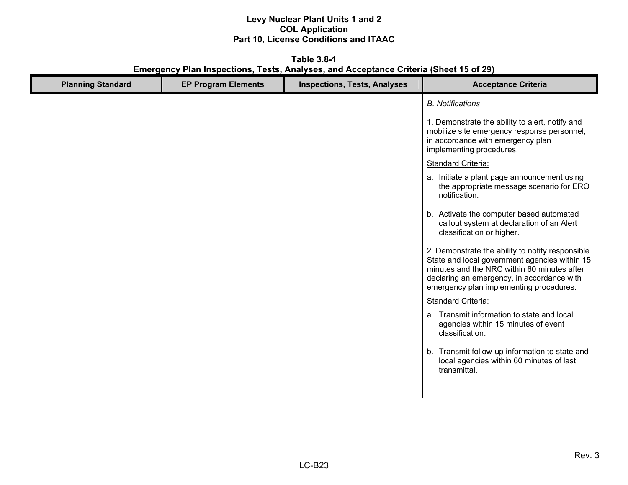**Table 3.8-1 Emergency Plan Inspections, Tests, Analyses, and Acceptance Criteria (Sheet 15 of 29)** 

| <b>Planning Standard</b> | <b>EP Program Elements</b> | <b>Inspections, Tests, Analyses</b> | <b>Acceptance Criteria</b>                                                                                                                                                                                                                |
|--------------------------|----------------------------|-------------------------------------|-------------------------------------------------------------------------------------------------------------------------------------------------------------------------------------------------------------------------------------------|
|                          |                            |                                     | <b>B.</b> Notifications                                                                                                                                                                                                                   |
|                          |                            |                                     | 1. Demonstrate the ability to alert, notify and<br>mobilize site emergency response personnel,<br>in accordance with emergency plan<br>implementing procedures.                                                                           |
|                          |                            |                                     | <b>Standard Criteria:</b>                                                                                                                                                                                                                 |
|                          |                            |                                     | a. Initiate a plant page announcement using<br>the appropriate message scenario for ERO<br>notification.                                                                                                                                  |
|                          |                            |                                     | b. Activate the computer based automated<br>callout system at declaration of an Alert<br>classification or higher.                                                                                                                        |
|                          |                            |                                     | 2. Demonstrate the ability to notify responsible<br>State and local government agencies within 15<br>minutes and the NRC within 60 minutes after<br>declaring an emergency, in accordance with<br>emergency plan implementing procedures. |
|                          |                            |                                     | Standard Criteria:                                                                                                                                                                                                                        |
|                          |                            |                                     | a. Transmit information to state and local<br>agencies within 15 minutes of event<br>classification.                                                                                                                                      |
|                          |                            |                                     | b. Transmit follow-up information to state and<br>local agencies within 60 minutes of last<br>transmittal.                                                                                                                                |
|                          |                            |                                     |                                                                                                                                                                                                                                           |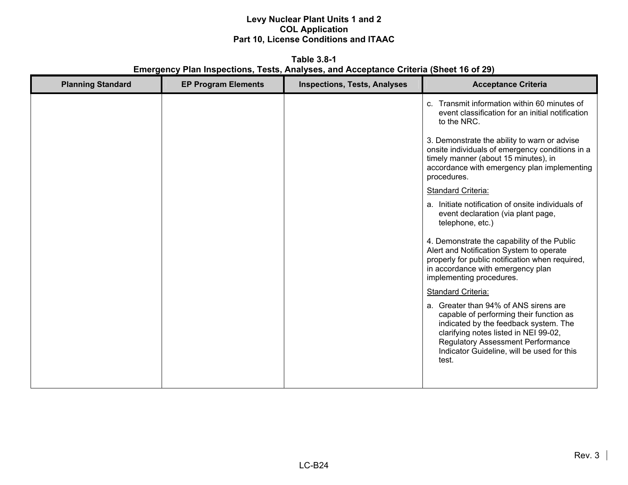**Table 3.8-1 Emergency Plan Inspections, Tests, Analyses, and Acceptance Criteria (Sheet 16 of 29)** 

| <b>Planning Standard</b> | <b>EP Program Elements</b> | <b>Inspections, Tests, Analyses</b> | <b>Acceptance Criteria</b>                                                                                                                                                                                                                                            |
|--------------------------|----------------------------|-------------------------------------|-----------------------------------------------------------------------------------------------------------------------------------------------------------------------------------------------------------------------------------------------------------------------|
|                          |                            |                                     | c. Transmit information within 60 minutes of<br>event classification for an initial notification<br>to the NRC.                                                                                                                                                       |
|                          |                            |                                     | 3. Demonstrate the ability to warn or advise<br>onsite individuals of emergency conditions in a<br>timely manner (about 15 minutes), in<br>accordance with emergency plan implementing<br>procedures.                                                                 |
|                          |                            |                                     | <b>Standard Criteria:</b>                                                                                                                                                                                                                                             |
|                          |                            |                                     | a. Initiate notification of onsite individuals of<br>event declaration (via plant page,<br>telephone, etc.)                                                                                                                                                           |
|                          |                            |                                     | 4. Demonstrate the capability of the Public<br>Alert and Notification System to operate<br>properly for public notification when required,<br>in accordance with emergency plan<br>implementing procedures.                                                           |
|                          |                            |                                     | <b>Standard Criteria:</b>                                                                                                                                                                                                                                             |
|                          |                            |                                     | a. Greater than 94% of ANS sirens are<br>capable of performing their function as<br>indicated by the feedback system. The<br>clarifying notes listed in NEI 99-02,<br><b>Regulatory Assessment Performance</b><br>Indicator Guideline, will be used for this<br>test. |
|                          |                            |                                     |                                                                                                                                                                                                                                                                       |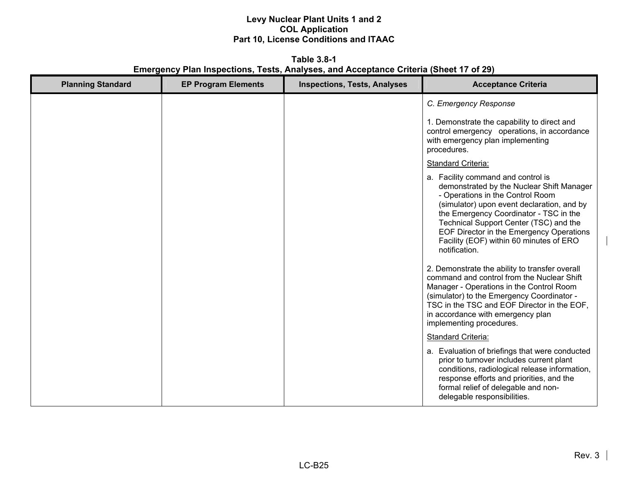**Table 3.8-1 Emergency Plan Inspections, Tests, Analyses, and Acceptance Criteria (Sheet 17 of 29)** 

| <b>Planning Standard</b> | <b>EP Program Elements</b> | <b>Inspections, Tests, Analyses</b> | <b>Acceptance Criteria</b>                                                                                                                                                                                                                                                                                                                                    |
|--------------------------|----------------------------|-------------------------------------|---------------------------------------------------------------------------------------------------------------------------------------------------------------------------------------------------------------------------------------------------------------------------------------------------------------------------------------------------------------|
|                          |                            |                                     | C. Emergency Response                                                                                                                                                                                                                                                                                                                                         |
|                          |                            |                                     | 1. Demonstrate the capability to direct and<br>control emergency operations, in accordance<br>with emergency plan implementing<br>procedures.                                                                                                                                                                                                                 |
|                          |                            |                                     | Standard Criteria:                                                                                                                                                                                                                                                                                                                                            |
|                          |                            |                                     | a. Facility command and control is<br>demonstrated by the Nuclear Shift Manager<br>- Operations in the Control Room<br>(simulator) upon event declaration, and by<br>the Emergency Coordinator - TSC in the<br>Technical Support Center (TSC) and the<br>EOF Director in the Emergency Operations<br>Facility (EOF) within 60 minutes of ERO<br>notification. |
|                          |                            |                                     | 2. Demonstrate the ability to transfer overall<br>command and control from the Nuclear Shift<br>Manager - Operations in the Control Room<br>(simulator) to the Emergency Coordinator -<br>TSC in the TSC and EOF Director in the EOF,<br>in accordance with emergency plan<br>implementing procedures.                                                        |
|                          |                            |                                     | <b>Standard Criteria:</b>                                                                                                                                                                                                                                                                                                                                     |
|                          |                            |                                     | a. Evaluation of briefings that were conducted<br>prior to turnover includes current plant<br>conditions, radiological release information,<br>response efforts and priorities, and the<br>formal relief of delegable and non-<br>delegable responsibilities.                                                                                                 |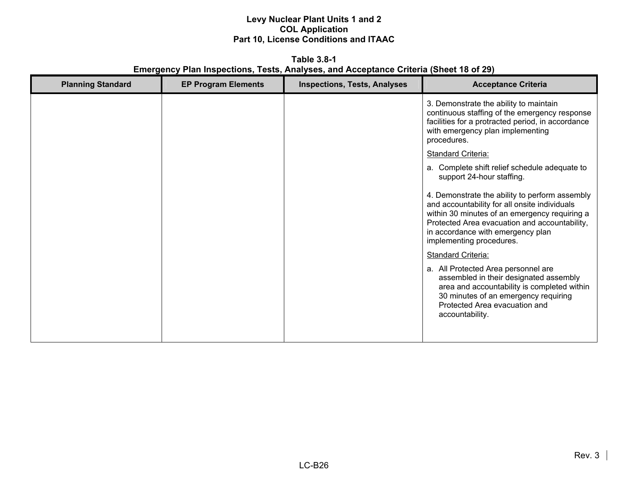**Table 3.8-1 Emergency Plan Inspections, Tests, Analyses, and Acceptance Criteria (Sheet 18 of 29)** 

| <b>Planning Standard</b> | <b>EP Program Elements</b> | <b>Inspections, Tests, Analyses</b> | <b>Acceptance Criteria</b>                                                                                                                                                                                                                                         |
|--------------------------|----------------------------|-------------------------------------|--------------------------------------------------------------------------------------------------------------------------------------------------------------------------------------------------------------------------------------------------------------------|
|                          |                            |                                     | 3. Demonstrate the ability to maintain<br>continuous staffing of the emergency response<br>facilities for a protracted period, in accordance<br>with emergency plan implementing<br>procedures.                                                                    |
|                          |                            |                                     | <b>Standard Criteria:</b>                                                                                                                                                                                                                                          |
|                          |                            |                                     | a. Complete shift relief schedule adequate to<br>support 24-hour staffing.                                                                                                                                                                                         |
|                          |                            |                                     | 4. Demonstrate the ability to perform assembly<br>and accountability for all onsite individuals<br>within 30 minutes of an emergency requiring a<br>Protected Area evacuation and accountability,<br>in accordance with emergency plan<br>implementing procedures. |
|                          |                            |                                     | <b>Standard Criteria:</b>                                                                                                                                                                                                                                          |
|                          |                            |                                     | a. All Protected Area personnel are<br>assembled in their designated assembly<br>area and accountability is completed within<br>30 minutes of an emergency requiring<br>Protected Area evacuation and<br>accountability.                                           |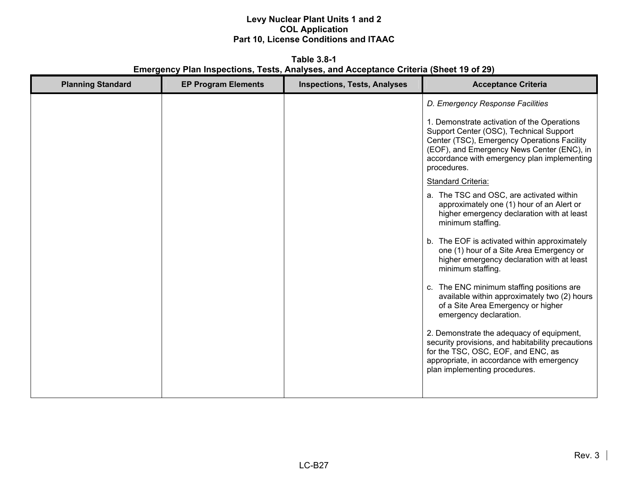**Table 3.8-1 Emergency Plan Inspections, Tests, Analyses, and Acceptance Criteria (Sheet 19 of 29)** 

| <b>Planning Standard</b> | <b>EP Program Elements</b> | <b>Inspections, Tests, Analyses</b> | <b>Acceptance Criteria</b>                                                                                                                                                                                                                        |
|--------------------------|----------------------------|-------------------------------------|---------------------------------------------------------------------------------------------------------------------------------------------------------------------------------------------------------------------------------------------------|
|                          |                            |                                     | D. Emergency Response Facilities                                                                                                                                                                                                                  |
|                          |                            |                                     | 1. Demonstrate activation of the Operations<br>Support Center (OSC), Technical Support<br>Center (TSC), Emergency Operations Facility<br>(EOF), and Emergency News Center (ENC), in<br>accordance with emergency plan implementing<br>procedures. |
|                          |                            |                                     | Standard Criteria:                                                                                                                                                                                                                                |
|                          |                            |                                     | a. The TSC and OSC, are activated within<br>approximately one (1) hour of an Alert or<br>higher emergency declaration with at least<br>minimum staffing.                                                                                          |
|                          |                            |                                     | b. The EOF is activated within approximately<br>one (1) hour of a Site Area Emergency or<br>higher emergency declaration with at least<br>minimum staffing.                                                                                       |
|                          |                            |                                     | c. The ENC minimum staffing positions are<br>available within approximately two (2) hours<br>of a Site Area Emergency or higher<br>emergency declaration.                                                                                         |
|                          |                            |                                     | 2. Demonstrate the adequacy of equipment,<br>security provisions, and habitability precautions<br>for the TSC, OSC, EOF, and ENC, as<br>appropriate, in accordance with emergency<br>plan implementing procedures.                                |
|                          |                            |                                     |                                                                                                                                                                                                                                                   |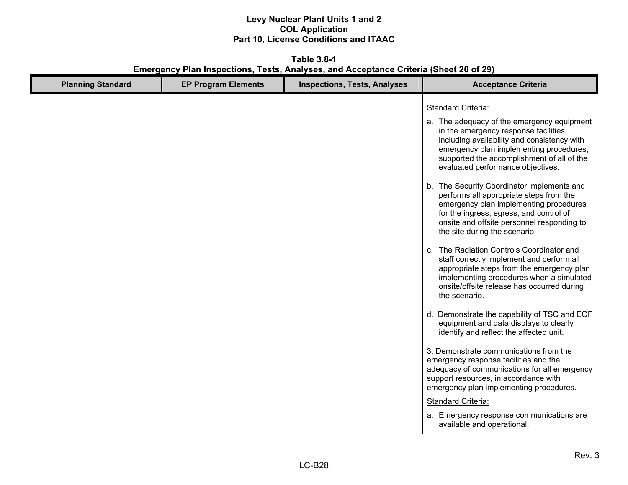**Table 3.8-1 Emergency Plan Inspections, Tests, Analyses, and Acceptance Criteria (Sheet 20 of 29)** 

| <b>Planning Standard</b><br><b>EP Program Elements</b><br><b>Inspections, Tests, Analyses</b> | <b>Acceptance Criteria</b>                                                                                                                                                                                                                                                                                                                                                                                                                                                                                                                                                                                                                                                                                                                                                                                                                                                                                                                                                                                                                                                                                                                                                                                                                                                      |
|-----------------------------------------------------------------------------------------------|---------------------------------------------------------------------------------------------------------------------------------------------------------------------------------------------------------------------------------------------------------------------------------------------------------------------------------------------------------------------------------------------------------------------------------------------------------------------------------------------------------------------------------------------------------------------------------------------------------------------------------------------------------------------------------------------------------------------------------------------------------------------------------------------------------------------------------------------------------------------------------------------------------------------------------------------------------------------------------------------------------------------------------------------------------------------------------------------------------------------------------------------------------------------------------------------------------------------------------------------------------------------------------|
|                                                                                               | <b>Standard Criteria:</b><br>a. The adequacy of the emergency equipment<br>in the emergency response facilities,<br>including availability and consistency with<br>emergency plan implementing procedures,<br>supported the accomplishment of all of the<br>evaluated performance objectives.<br>b. The Security Coordinator implements and<br>performs all appropriate steps from the<br>emergency plan implementing procedures<br>for the ingress, egress, and control of<br>onsite and offsite personnel responding to<br>the site during the scenario.<br>c. The Radiation Controls Coordinator and<br>staff correctly implement and perform all<br>appropriate steps from the emergency plan<br>implementing procedures when a simulated<br>onsite/offsite release has occurred during<br>the scenario.<br>d. Demonstrate the capability of TSC and EOF<br>equipment and data displays to clearly<br>identify and reflect the affected unit.<br>3. Demonstrate communications from the<br>emergency response facilities and the<br>adequacy of communications for all emergency<br>support resources, in accordance with<br>emergency plan implementing procedures.<br><b>Standard Criteria:</b><br>a. Emergency response communications are<br>available and operational. |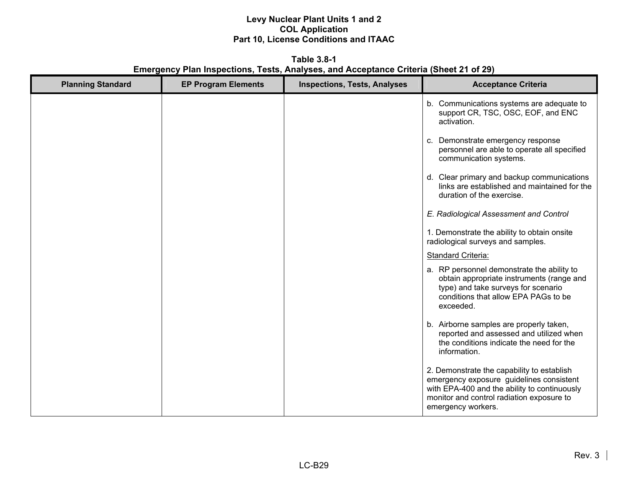**Table 3.8-1 Emergency Plan Inspections, Tests, Analyses, and Acceptance Criteria (Sheet 21 of 29)** 

| <b>Planning Standard</b> | <b>EP Program Elements</b> | <b>Inspections, Tests, Analyses</b> | <b>Acceptance Criteria</b>                                                                                                                                                                                |
|--------------------------|----------------------------|-------------------------------------|-----------------------------------------------------------------------------------------------------------------------------------------------------------------------------------------------------------|
|                          |                            |                                     | b. Communications systems are adequate to<br>support CR, TSC, OSC, EOF, and ENC<br>activation.                                                                                                            |
|                          |                            |                                     | c. Demonstrate emergency response<br>personnel are able to operate all specified<br>communication systems.                                                                                                |
|                          |                            |                                     | d. Clear primary and backup communications<br>links are established and maintained for the<br>duration of the exercise.                                                                                   |
|                          |                            |                                     | E. Radiological Assessment and Control                                                                                                                                                                    |
|                          |                            |                                     | 1. Demonstrate the ability to obtain onsite<br>radiological surveys and samples.                                                                                                                          |
|                          |                            |                                     | <b>Standard Criteria:</b>                                                                                                                                                                                 |
|                          |                            |                                     | a. RP personnel demonstrate the ability to<br>obtain appropriate instruments (range and<br>type) and take surveys for scenario<br>conditions that allow EPA PAGs to be<br>exceeded.                       |
|                          |                            |                                     | b. Airborne samples are properly taken,<br>reported and assessed and utilized when<br>the conditions indicate the need for the<br>information.                                                            |
|                          |                            |                                     | 2. Demonstrate the capability to establish<br>emergency exposure guidelines consistent<br>with EPA-400 and the ability to continuously<br>monitor and control radiation exposure to<br>emergency workers. |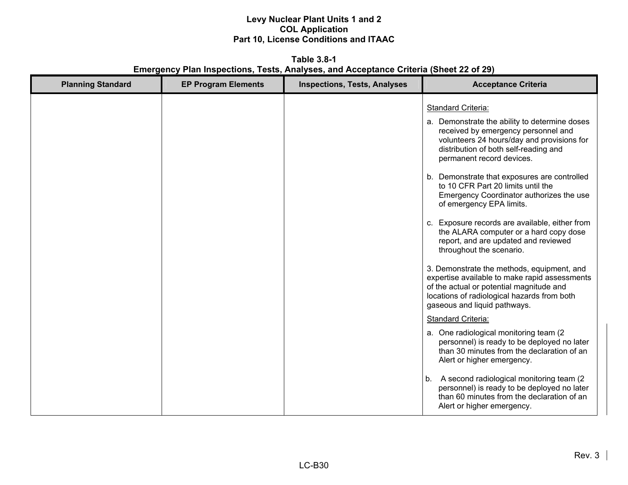**Table 3.8-1 Emergency Plan Inspections, Tests, Analyses, and Acceptance Criteria (Sheet 22 of 29)** 

| <b>Planning Standard</b>   | <b>Inspections, Tests, Analyses</b>                                                                                                                                                                                                                                                                                                                                                                                                                                                                                                                                                                                                                                                                                                                                                                                                                                                                                                                                                                                                                                                                                                                                     |
|----------------------------|-------------------------------------------------------------------------------------------------------------------------------------------------------------------------------------------------------------------------------------------------------------------------------------------------------------------------------------------------------------------------------------------------------------------------------------------------------------------------------------------------------------------------------------------------------------------------------------------------------------------------------------------------------------------------------------------------------------------------------------------------------------------------------------------------------------------------------------------------------------------------------------------------------------------------------------------------------------------------------------------------------------------------------------------------------------------------------------------------------------------------------------------------------------------------|
| <b>EP Program Elements</b> | <b>Acceptance Criteria</b>                                                                                                                                                                                                                                                                                                                                                                                                                                                                                                                                                                                                                                                                                                                                                                                                                                                                                                                                                                                                                                                                                                                                              |
|                            | <b>Standard Criteria:</b><br>a. Demonstrate the ability to determine doses<br>received by emergency personnel and<br>volunteers 24 hours/day and provisions for<br>distribution of both self-reading and<br>permanent record devices.<br>b. Demonstrate that exposures are controlled<br>to 10 CFR Part 20 limits until the<br>Emergency Coordinator authorizes the use<br>of emergency EPA limits.<br>c. Exposure records are available, either from<br>the ALARA computer or a hard copy dose<br>report, and are updated and reviewed<br>throughout the scenario.<br>3. Demonstrate the methods, equipment, and<br>expertise available to make rapid assessments<br>of the actual or potential magnitude and<br>locations of radiological hazards from both<br>gaseous and liquid pathways.<br>Standard Criteria:<br>a. One radiological monitoring team (2)<br>personnel) is ready to be deployed no later<br>than 30 minutes from the declaration of an<br>Alert or higher emergency.<br>A second radiological monitoring team (2)<br>b.<br>personnel) is ready to be deployed no later<br>than 60 minutes from the declaration of an<br>Alert or higher emergency. |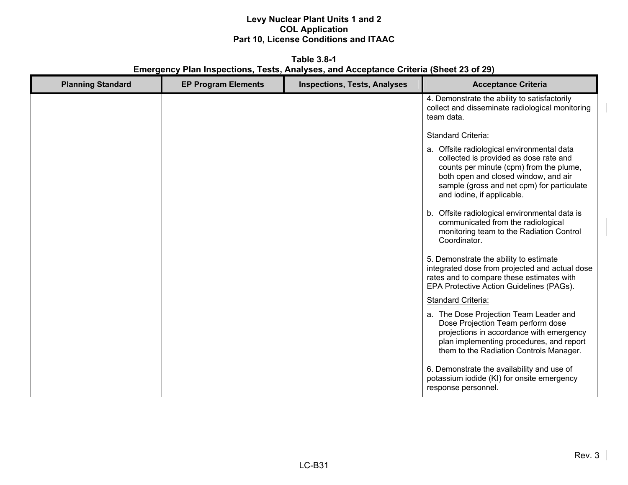**Table 3.8-1 Emergency Plan Inspections, Tests, Analyses, and Acceptance Criteria (Sheet 23 of 29)** 

| <b>Planning Standard</b> | <b>EP Program Elements</b> | <b>Inspections, Tests, Analyses</b> | <b>Acceptance Criteria</b>                                                                                                                                                                                                                          |
|--------------------------|----------------------------|-------------------------------------|-----------------------------------------------------------------------------------------------------------------------------------------------------------------------------------------------------------------------------------------------------|
|                          |                            |                                     | 4. Demonstrate the ability to satisfactorily<br>collect and disseminate radiological monitoring<br>team data.                                                                                                                                       |
|                          |                            |                                     | Standard Criteria:                                                                                                                                                                                                                                  |
|                          |                            |                                     | a. Offsite radiological environmental data<br>collected is provided as dose rate and<br>counts per minute (cpm) from the plume,<br>both open and closed window, and air<br>sample (gross and net cpm) for particulate<br>and iodine, if applicable. |
|                          |                            |                                     | b. Offsite radiological environmental data is<br>communicated from the radiological<br>monitoring team to the Radiation Control<br>Coordinator.                                                                                                     |
|                          |                            |                                     | 5. Demonstrate the ability to estimate<br>integrated dose from projected and actual dose<br>rates and to compare these estimates with<br>EPA Protective Action Guidelines (PAGs).                                                                   |
|                          |                            |                                     | <b>Standard Criteria:</b>                                                                                                                                                                                                                           |
|                          |                            |                                     | a. The Dose Projection Team Leader and<br>Dose Projection Team perform dose<br>projections in accordance with emergency<br>plan implementing procedures, and report<br>them to the Radiation Controls Manager.                                      |
|                          |                            |                                     | 6. Demonstrate the availability and use of<br>potassium iodide (KI) for onsite emergency<br>response personnel.                                                                                                                                     |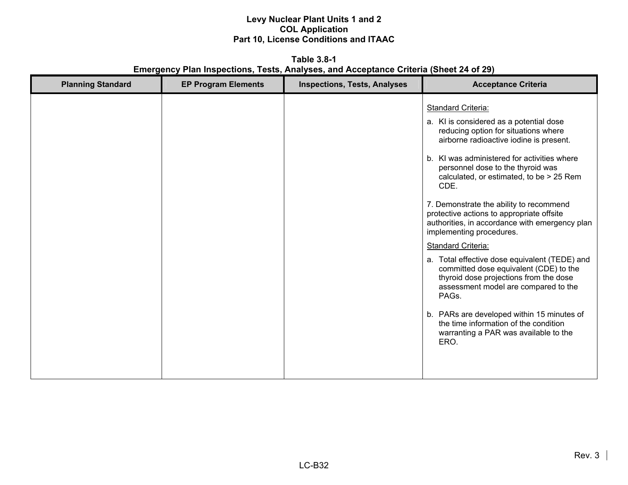**Table 3.8-1 Emergency Plan Inspections, Tests, Analyses, and Acceptance Criteria (Sheet 24 of 29)** 

| <b>Planning Standard</b> | <b>EP Program Elements</b> | <b>Inspections, Tests, Analyses</b> | <b>Acceptance Criteria</b>                                                                                                                                                                                                                                                                                                                                                                                                                                                                                                                                                                                                                                                                                                                                                                                                       |
|--------------------------|----------------------------|-------------------------------------|----------------------------------------------------------------------------------------------------------------------------------------------------------------------------------------------------------------------------------------------------------------------------------------------------------------------------------------------------------------------------------------------------------------------------------------------------------------------------------------------------------------------------------------------------------------------------------------------------------------------------------------------------------------------------------------------------------------------------------------------------------------------------------------------------------------------------------|
|                          |                            |                                     | <b>Standard Criteria:</b><br>a. KI is considered as a potential dose<br>reducing option for situations where<br>airborne radioactive iodine is present.<br>b. KI was administered for activities where<br>personnel dose to the thyroid was<br>calculated, or estimated, to be > 25 Rem<br>CDE.<br>7. Demonstrate the ability to recommend<br>protective actions to appropriate offsite<br>authorities, in accordance with emergency plan<br>implementing procedures.<br><b>Standard Criteria:</b><br>a. Total effective dose equivalent (TEDE) and<br>committed dose equivalent (CDE) to the<br>thyroid dose projections from the dose<br>assessment model are compared to the<br>PAGs.<br>b. PARs are developed within 15 minutes of<br>the time information of the condition<br>warranting a PAR was available to the<br>ERO. |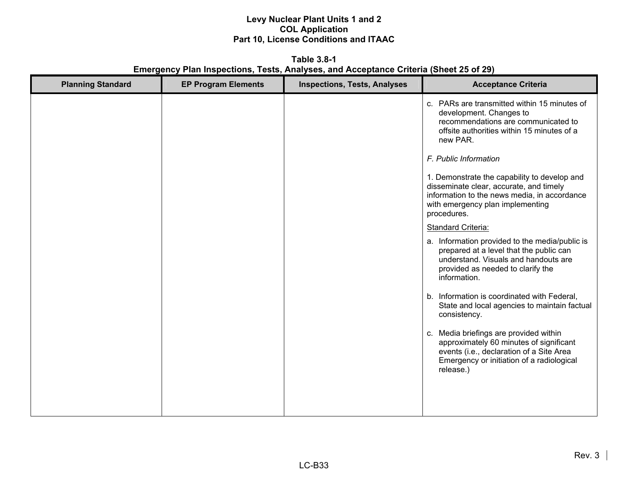**Table 3.8-1 Emergency Plan Inspections, Tests, Analyses, and Acceptance Criteria (Sheet 25 of 29)** 

| <b>Planning Standard</b> | <b>EP Program Elements</b> | <b>Inspections, Tests, Analyses</b> | <b>Acceptance Criteria</b>                                                                                                                                                                 |
|--------------------------|----------------------------|-------------------------------------|--------------------------------------------------------------------------------------------------------------------------------------------------------------------------------------------|
|                          |                            |                                     | c. PARs are transmitted within 15 minutes of<br>development. Changes to<br>recommendations are communicated to<br>offsite authorities within 15 minutes of a<br>new PAR.                   |
|                          |                            |                                     | F. Public Information                                                                                                                                                                      |
|                          |                            |                                     | 1. Demonstrate the capability to develop and<br>disseminate clear, accurate, and timely<br>information to the news media, in accordance<br>with emergency plan implementing<br>procedures. |
|                          |                            |                                     | <b>Standard Criteria:</b>                                                                                                                                                                  |
|                          |                            |                                     | a. Information provided to the media/public is<br>prepared at a level that the public can<br>understand. Visuals and handouts are<br>provided as needed to clarify the<br>information.     |
|                          |                            |                                     | b. Information is coordinated with Federal,<br>State and local agencies to maintain factual<br>consistency.                                                                                |
|                          |                            |                                     | c. Media briefings are provided within<br>approximately 60 minutes of significant<br>events (i.e., declaration of a Site Area<br>Emergency or initiation of a radiological<br>release.)    |
|                          |                            |                                     |                                                                                                                                                                                            |
|                          |                            |                                     |                                                                                                                                                                                            |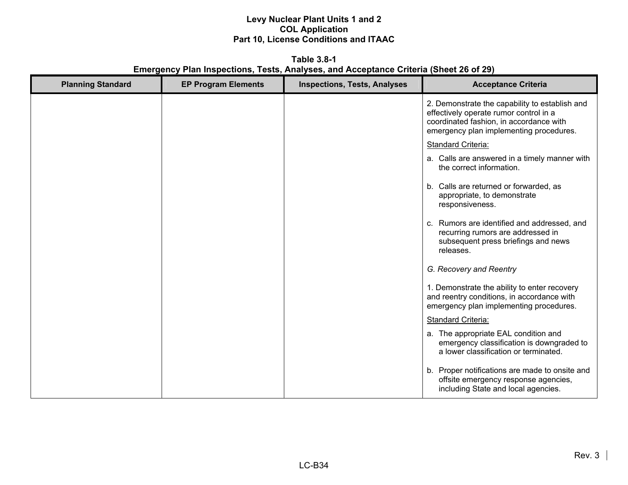**Table 3.8-1 Emergency Plan Inspections, Tests, Analyses, and Acceptance Criteria (Sheet 26 of 29)** 

| <b>Planning Standard</b> | <b>EP Program Elements</b> | <b>Inspections, Tests, Analyses</b> | <b>Acceptance Criteria</b>                                                                                                                                                     |
|--------------------------|----------------------------|-------------------------------------|--------------------------------------------------------------------------------------------------------------------------------------------------------------------------------|
|                          |                            |                                     | 2. Demonstrate the capability to establish and<br>effectively operate rumor control in a<br>coordinated fashion, in accordance with<br>emergency plan implementing procedures. |
|                          |                            |                                     | Standard Criteria:                                                                                                                                                             |
|                          |                            |                                     | a. Calls are answered in a timely manner with<br>the correct information.                                                                                                      |
|                          |                            |                                     | b. Calls are returned or forwarded, as<br>appropriate, to demonstrate<br>responsiveness.                                                                                       |
|                          |                            |                                     | c. Rumors are identified and addressed, and<br>recurring rumors are addressed in<br>subsequent press briefings and news<br>releases.                                           |
|                          |                            |                                     | G. Recovery and Reentry                                                                                                                                                        |
|                          |                            |                                     | 1. Demonstrate the ability to enter recovery<br>and reentry conditions, in accordance with<br>emergency plan implementing procedures.                                          |
|                          |                            |                                     | Standard Criteria:                                                                                                                                                             |
|                          |                            |                                     | a. The appropriate EAL condition and<br>emergency classification is downgraded to<br>a lower classification or terminated.                                                     |
|                          |                            |                                     | b. Proper notifications are made to onsite and<br>offsite emergency response agencies,<br>including State and local agencies.                                                  |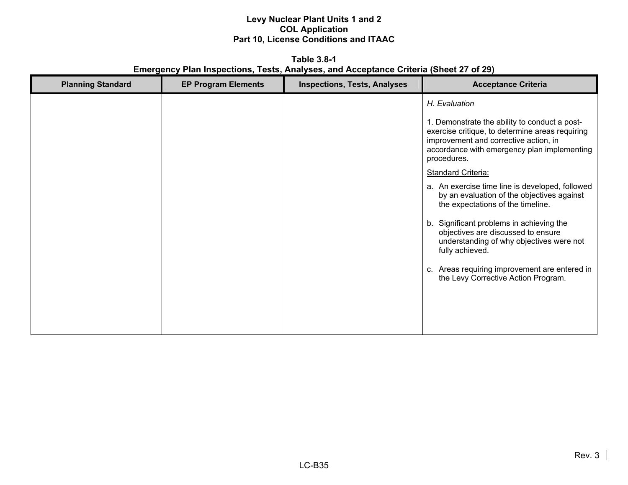**Table 3.8-1 Emergency Plan Inspections, Tests, Analyses, and Acceptance Criteria (Sheet 27 of 29)** 

| <b>Planning Standard</b> | <b>EP Program Elements</b> | <b>Inspections, Tests, Analyses</b> | <b>Acceptance Criteria</b>                                                                                                                    |
|--------------------------|----------------------------|-------------------------------------|-----------------------------------------------------------------------------------------------------------------------------------------------|
|                          |                            |                                     | H. Evaluation<br>1. Demonstrate the ability to conduct a post-<br>exercise critique, to determine areas requiring                             |
|                          |                            |                                     | improvement and corrective action, in<br>accordance with emergency plan implementing<br>procedures.                                           |
|                          |                            |                                     | <b>Standard Criteria:</b>                                                                                                                     |
|                          |                            |                                     | a. An exercise time line is developed, followed<br>by an evaluation of the objectives against<br>the expectations of the timeline.            |
|                          |                            |                                     | b. Significant problems in achieving the<br>objectives are discussed to ensure<br>understanding of why objectives were not<br>fully achieved. |
|                          |                            |                                     | c. Areas requiring improvement are entered in<br>the Levy Corrective Action Program.                                                          |
|                          |                            |                                     |                                                                                                                                               |
|                          |                            |                                     |                                                                                                                                               |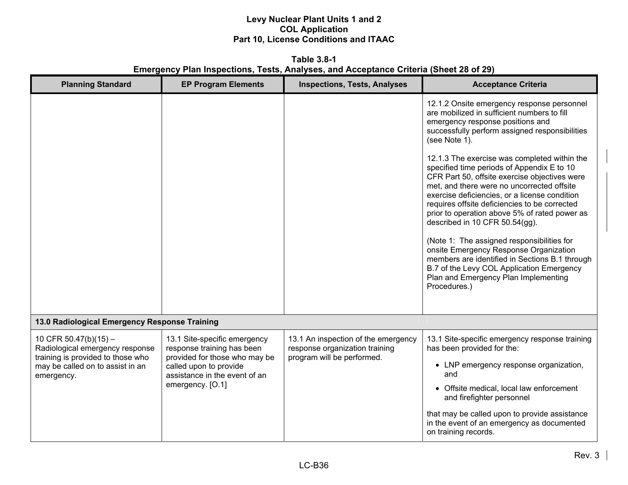**Table 3.8-1 Emergency Plan Inspections, Tests, Analyses, and Acceptance Criteria (Sheet 28 of 29)** 

| <b>Planning Standard</b>                                                                                                                          | <b>EP Program Elements</b>                                                                                                                             | <b>Inspections, Tests, Analyses</b>                                                                 | <b>Acceptance Criteria</b>                                                                                                                                                                                                                                                                                                     |
|---------------------------------------------------------------------------------------------------------------------------------------------------|--------------------------------------------------------------------------------------------------------------------------------------------------------|-----------------------------------------------------------------------------------------------------|--------------------------------------------------------------------------------------------------------------------------------------------------------------------------------------------------------------------------------------------------------------------------------------------------------------------------------|
|                                                                                                                                                   |                                                                                                                                                        |                                                                                                     | 12.1.2 Onsite emergency response personnel<br>are mobilized in sufficient numbers to fill<br>emergency response positions and<br>successfully perform assigned responsibilities<br>(see Note 1).<br>12.1.3 The exercise was completed within the                                                                               |
|                                                                                                                                                   |                                                                                                                                                        |                                                                                                     | specified time periods of Appendix E to 10<br>CFR Part 50, offsite exercise objectives were<br>met, and there were no uncorrected offsite<br>exercise deficiencies, or a license condition<br>requires offsite deficiencies to be corrected<br>prior to operation above 5% of rated power as<br>described in 10 CFR 50.54(gg). |
|                                                                                                                                                   |                                                                                                                                                        |                                                                                                     | (Note 1: The assigned responsibilities for<br>onsite Emergency Response Organization<br>members are identified in Sections B.1 through<br>B.7 of the Levy COL Application Emergency<br>Plan and Emergency Plan Implementing<br>Procedures.)                                                                                    |
| 13.0 Radiological Emergency Response Training                                                                                                     |                                                                                                                                                        |                                                                                                     |                                                                                                                                                                                                                                                                                                                                |
| 10 CFR 50.47(b)(15) $-$<br>Radiological emergency response<br>training is provided to those who<br>may be called on to assist in an<br>emergency. | 13.1 Site-specific emergency<br>response training has been<br>provided for those who may be<br>called upon to provide<br>assistance in the event of an | 13.1 An inspection of the emergency<br>response organization training<br>program will be performed. | 13.1 Site-specific emergency response training<br>has been provided for the:<br>• LNP emergency response organization,<br>and                                                                                                                                                                                                  |
|                                                                                                                                                   | emergency. [O.1]                                                                                                                                       |                                                                                                     | • Offsite medical, local law enforcement<br>and firefighter personnel                                                                                                                                                                                                                                                          |
|                                                                                                                                                   |                                                                                                                                                        |                                                                                                     | that may be called upon to provide assistance<br>in the event of an emergency as documented<br>on training records.                                                                                                                                                                                                            |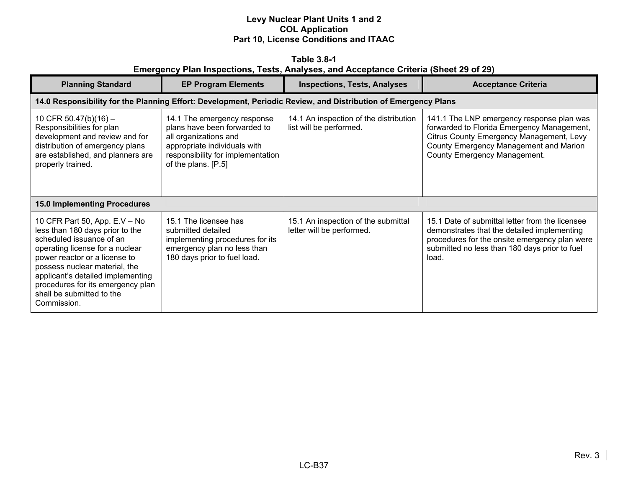|                                                                                       | Table 3.8-1 |  |  |  |
|---------------------------------------------------------------------------------------|-------------|--|--|--|
| Emergency Plan Inspections, Tests, Analyses, and Acceptance Criteria (Sheet 29 of 29) |             |  |  |  |

| <b>Planning Standard</b>                                                                                                                                                                                                                                                                                                | <b>EP Program Elements</b>                                                                                                                                                       | <b>Inspections, Tests, Analyses</b>                                                                            | <b>Acceptance Criteria</b>                                                                                                                                                                                    |
|-------------------------------------------------------------------------------------------------------------------------------------------------------------------------------------------------------------------------------------------------------------------------------------------------------------------------|----------------------------------------------------------------------------------------------------------------------------------------------------------------------------------|----------------------------------------------------------------------------------------------------------------|---------------------------------------------------------------------------------------------------------------------------------------------------------------------------------------------------------------|
|                                                                                                                                                                                                                                                                                                                         |                                                                                                                                                                                  | 14.0 Responsibility for the Planning Effort: Development, Periodic Review, and Distribution of Emergency Plans |                                                                                                                                                                                                               |
| 10 CFR 50.47(b)(16) -<br>Responsibilities for plan<br>development and review and for<br>distribution of emergency plans<br>are established, and planners are<br>properly trained.                                                                                                                                       | 14.1 The emergency response<br>plans have been forwarded to<br>all organizations and<br>appropriate individuals with<br>responsibility for implementation<br>of the plans. [P.5] | 14.1 An inspection of the distribution<br>list will be performed.                                              | 141.1 The LNP emergency response plan was<br>forwarded to Florida Emergency Management,<br>Citrus County Emergency Management, Levy<br>County Emergency Management and Marion<br>County Emergency Management. |
| <b>15.0 Implementing Procedures</b>                                                                                                                                                                                                                                                                                     |                                                                                                                                                                                  |                                                                                                                |                                                                                                                                                                                                               |
| 10 CFR Part 50, App. E.V - No<br>less than 180 days prior to the<br>scheduled issuance of an<br>operating license for a nuclear<br>power reactor or a license to<br>possess nuclear material, the<br>applicant's detailed implementing<br>procedures for its emergency plan<br>shall be submitted to the<br>Commission. | 15.1 The licensee has<br>submitted detailed<br>implementing procedures for its<br>emergency plan no less than<br>180 days prior to fuel load.                                    | 15.1 An inspection of the submittal<br>letter will be performed.                                               | 15.1 Date of submittal letter from the licensee<br>demonstrates that the detailed implementing<br>procedures for the onsite emergency plan were<br>submitted no less than 180 days prior to fuel<br>load.     |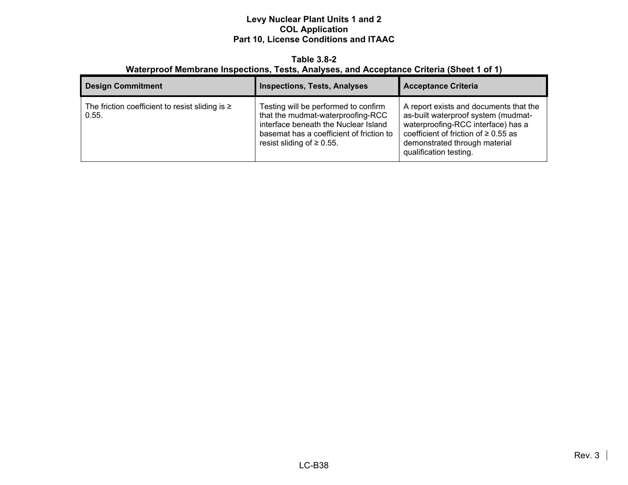#### **Table 3.8-2 Waterproof Membrane Inspections, Tests, Analyses, and Acceptance Criteria (Sheet 1 of 1)**

| <b>Design Commitment</b>                                      | <b>Inspections, Tests, Analyses</b>                                                                                                                                                              | <b>Acceptance Criteria</b>                                                                                                                                                                                                  |
|---------------------------------------------------------------|--------------------------------------------------------------------------------------------------------------------------------------------------------------------------------------------------|-----------------------------------------------------------------------------------------------------------------------------------------------------------------------------------------------------------------------------|
| The friction coefficient to resist sliding is $\geq$<br>0.55. | Testing will be performed to confirm<br>that the mudmat-waterproofing-RCC<br>interface beneath the Nuclear Island<br>basemat has a coefficient of friction to<br>resist sliding of $\geq 0.55$ . | A report exists and documents that the<br>as-built waterproof system (mudmat-<br>waterproofing-RCC interface) has a<br>coefficient of friction of $\geq 0.55$ as<br>demonstrated through material<br>qualification testing. |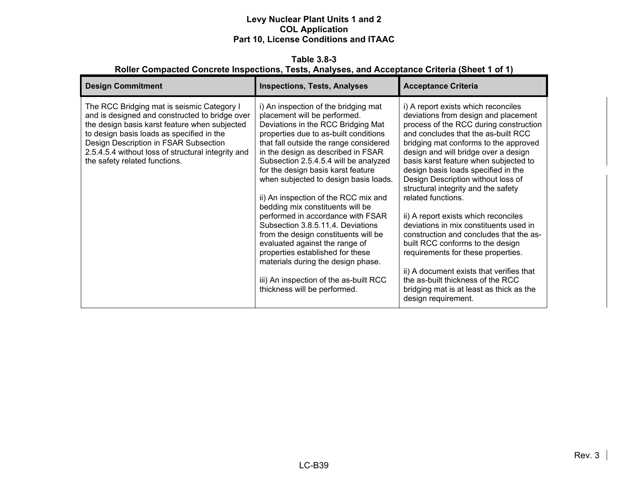**Table 3.8-3 Roller Compacted Concrete Inspections, Tests, Analyses, and Acceptance Criteria (Sheet 1 of 1)** 

| <b>Design Commitment</b>                                                                                                                                                                                                                                                                                                   | <b>Inspections, Tests, Analyses</b>                                                                                                                                                                                                                                                                                                                                                                                                                                                                                                                                                                                                                                                                                                             | <b>Acceptance Criteria</b>                                                                                                                                                                                                                                                                                                                                                                                                                                                                                                                                                                                                                                                                                                                                                                  |
|----------------------------------------------------------------------------------------------------------------------------------------------------------------------------------------------------------------------------------------------------------------------------------------------------------------------------|-------------------------------------------------------------------------------------------------------------------------------------------------------------------------------------------------------------------------------------------------------------------------------------------------------------------------------------------------------------------------------------------------------------------------------------------------------------------------------------------------------------------------------------------------------------------------------------------------------------------------------------------------------------------------------------------------------------------------------------------------|---------------------------------------------------------------------------------------------------------------------------------------------------------------------------------------------------------------------------------------------------------------------------------------------------------------------------------------------------------------------------------------------------------------------------------------------------------------------------------------------------------------------------------------------------------------------------------------------------------------------------------------------------------------------------------------------------------------------------------------------------------------------------------------------|
| The RCC Bridging mat is seismic Category I<br>and is designed and constructed to bridge over<br>the design basis karst feature when subjected<br>to design basis loads as specified in the<br>Design Description in FSAR Subsection<br>2.5.4.5.4 without loss of structural integrity and<br>the safety related functions. | i) An inspection of the bridging mat<br>placement will be performed.<br>Deviations in the RCC Bridging Mat<br>properties due to as-built conditions<br>that fall outside the range considered<br>in the design as described in FSAR<br>Subsection 2.5.4.5.4 will be analyzed<br>for the design basis karst feature<br>when subjected to design basis loads.<br>ii) An inspection of the RCC mix and<br>bedding mix constituents will be<br>performed in accordance with FSAR<br>Subsection 3.8.5.11.4. Deviations<br>from the design constituents will be<br>evaluated against the range of<br>properties established for these<br>materials during the design phase.<br>iii) An inspection of the as-built RCC<br>thickness will be performed. | i) A report exists which reconciles<br>deviations from design and placement<br>process of the RCC during construction<br>and concludes that the as-built RCC<br>bridging mat conforms to the approved<br>design and will bridge over a design<br>basis karst feature when subjected to<br>design basis loads specified in the<br>Design Description without loss of<br>structural integrity and the safety<br>related functions.<br>ii) A report exists which reconciles<br>deviations in mix constituents used in<br>construction and concludes that the as-<br>built RCC conforms to the design<br>requirements for these properties.<br>ii) A document exists that verifies that<br>the as-built thickness of the RCC<br>bridging mat is at least as thick as the<br>design requirement. |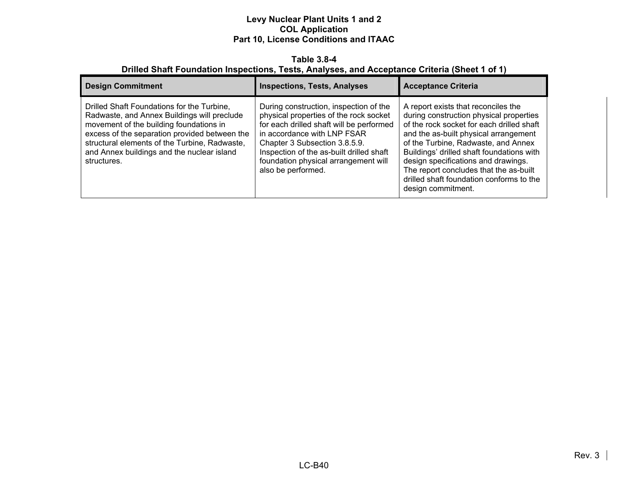#### **Table 3.8-4 Drilled Shaft Foundation Inspections, Tests, Analyses, and Acceptance Criteria (Sheet 1 of 1)**

| <b>Design Commitment</b>                                                                                                                                                                                                                                                                            | <b>Inspections, Tests, Analyses</b>                                                                                                                                                                                                                                                                    | <b>Acceptance Criteria</b>                                                                                                                                                                                                                                                                                                                                                                                  |
|-----------------------------------------------------------------------------------------------------------------------------------------------------------------------------------------------------------------------------------------------------------------------------------------------------|--------------------------------------------------------------------------------------------------------------------------------------------------------------------------------------------------------------------------------------------------------------------------------------------------------|-------------------------------------------------------------------------------------------------------------------------------------------------------------------------------------------------------------------------------------------------------------------------------------------------------------------------------------------------------------------------------------------------------------|
| Drilled Shaft Foundations for the Turbine,<br>Radwaste, and Annex Buildings will preclude<br>movement of the building foundations in<br>excess of the separation provided between the<br>structural elements of the Turbine, Radwaste,<br>and Annex buildings and the nuclear island<br>structures. | During construction, inspection of the<br>physical properties of the rock socket<br>for each drilled shaft will be performed<br>in accordance with LNP FSAR<br>Chapter 3 Subsection 3.8.5.9.<br>Inspection of the as-built drilled shaft<br>foundation physical arrangement will<br>also be performed. | A report exists that reconciles the<br>during construction physical properties<br>of the rock socket for each drilled shaft<br>and the as-built physical arrangement<br>of the Turbine, Radwaste, and Annex<br>Buildings' drilled shaft foundations with<br>design specifications and drawings.<br>The report concludes that the as-built<br>drilled shaft foundation conforms to the<br>design commitment. |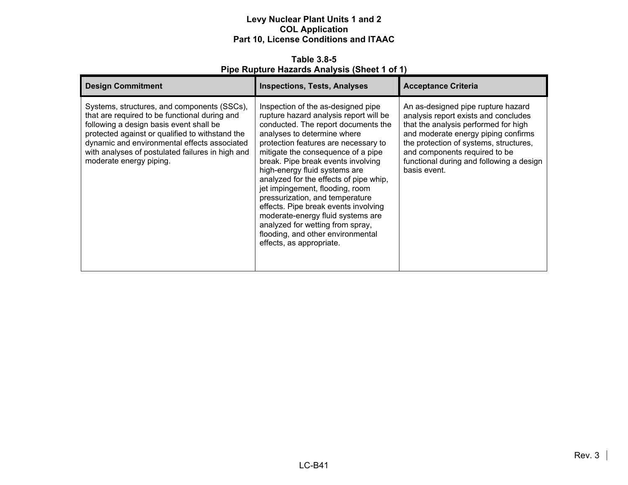**Table 3.8-5 Pipe Rupture Hazards Analysis (Sheet 1 of 1)** 

| <b>Design Commitment</b>                                                                                                                                                                                                                                                                                                  | <b>Inspections, Tests, Analyses</b>                                                                                                                                                                                                                                                                                                                                                                                                                                                                                                                                                                       | <b>Acceptance Criteria</b>                                                                                                                                                                                                                                                                       |
|---------------------------------------------------------------------------------------------------------------------------------------------------------------------------------------------------------------------------------------------------------------------------------------------------------------------------|-----------------------------------------------------------------------------------------------------------------------------------------------------------------------------------------------------------------------------------------------------------------------------------------------------------------------------------------------------------------------------------------------------------------------------------------------------------------------------------------------------------------------------------------------------------------------------------------------------------|--------------------------------------------------------------------------------------------------------------------------------------------------------------------------------------------------------------------------------------------------------------------------------------------------|
| Systems, structures, and components (SSCs),<br>that are required to be functional during and<br>following a design basis event shall be<br>protected against or qualified to withstand the<br>dynamic and environmental effects associated<br>with analyses of postulated failures in high and<br>moderate energy piping. | Inspection of the as-designed pipe<br>rupture hazard analysis report will be<br>conducted. The report documents the<br>analyses to determine where<br>protection features are necessary to<br>mitigate the consequence of a pipe<br>break. Pipe break events involving<br>high-energy fluid systems are<br>analyzed for the effects of pipe whip,<br>jet impingement, flooding, room<br>pressurization, and temperature<br>effects. Pipe break events involving<br>moderate-energy fluid systems are<br>analyzed for wetting from spray,<br>flooding, and other environmental<br>effects, as appropriate. | An as-designed pipe rupture hazard<br>analysis report exists and concludes<br>that the analysis performed for high<br>and moderate energy piping confirms<br>the protection of systems, structures,<br>and components required to be<br>functional during and following a design<br>basis event. |